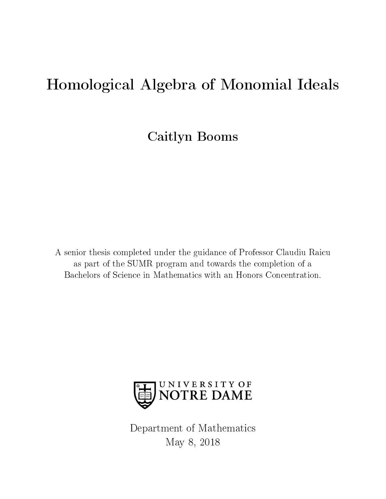# Homological Algebra of Monomial Ideals

Caitlyn Booms

A senior thesis completed under the guidance of Professor Claudiu Raicu as part of the SUMR program and towards the completion of a Bachelors of Science in Mathematics with an Honors Concentration.



Department of Mathematics May 8, 2018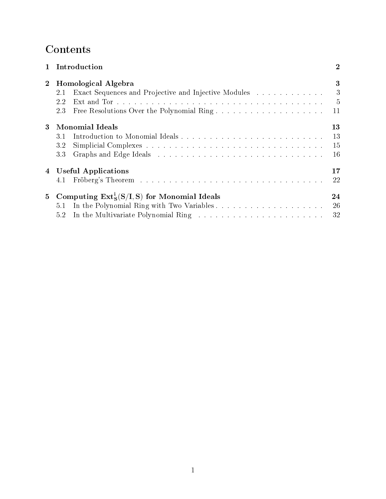# **Contents**

| $\mathbf{1}$   | Introduction                                                | $\bf{2}$       |
|----------------|-------------------------------------------------------------|----------------|
| $\mathbf{2}$   | Homological Algebra                                         | 3              |
|                | Exact Sequences and Projective and Injective Modules<br>2.1 | 3              |
|                | 2.2                                                         | $\overline{5}$ |
|                | 2.3                                                         | 11             |
| $\mathbf{3}$   | <b>Monomial Ideals</b>                                      | 13             |
|                | 3.1                                                         | 13             |
|                | 3.2                                                         | 15             |
|                | 3.3                                                         | 16             |
|                | 4 Useful Applications                                       | 17             |
|                | 4.1                                                         | 22             |
| 5 <sub>5</sub> | Computing $Ext_S^i(S/I, S)$ for Monomial Ideals             | 24             |
|                | 5.1                                                         | 26             |
|                | 5.2                                                         | 32             |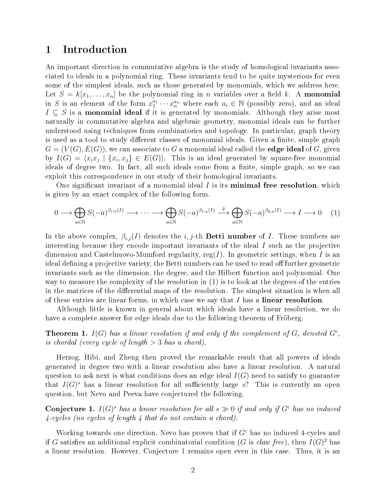## 1 Introduction

An important direction in commutative algebra is the study of homological invariants associated to ideals in a polynomial ring. These invariants tend to be quite mysterious for even some of the simplest ideals, such as those generated by monomials, which we address here. Let  $S = k[x_1, \ldots, x_n]$  be the polynomial ring in *n* variables over a field k. A monomial in S is an element of the form  $x_1^{a_1} \cdots x_n^{a_n}$  where each  $a_i \in \mathbb{N}$  (possibly zero), and an ideal  $I \subseteq S$  is a **monomial ideal** if it is generated by monomials. Although they arise most naturally in commutative algebra and algebraic geometry, monomial ideals can be further understood using techniques from combinatorics and topology. In particular, graph theory is used as a tool to study different classes of monomial ideals. Given a finite, simple graph  $G = (V(G), E(G))$ , we can associate to G a monomial ideal called the **edge ideal** of G, given by  $I(G) = \langle x_i x_j \mid \{x_i, x_j\} \in E(G) \rangle$ . This is an ideal generated by square-free monomial ideals of degree two. In fact, all such ideals come from a finite, simple graph, so we can exploit this correspondence in our study of their homological invariants.

One significant invariant of a monomial ideal  $I$  is its **minimal free resolution**, which is given by an exact complex of the following form.

$$
0 \longrightarrow \bigoplus_{a \in \mathbb{N}} S(-a)^{\beta_{r,a}(I)} \longrightarrow \cdots \longrightarrow \bigoplus_{a \in \mathbb{N}} S(-a)^{\beta_{1,a}(I)} \stackrel{\delta}{\longrightarrow} \bigoplus_{a \in \mathbb{N}} S(-a)^{\beta_{0,a}(I)} \longrightarrow I \longrightarrow 0 \quad (1)
$$

In the above complex,  $\beta_{i,j}(I)$  denotes the i, j-th **Betti number** of I. These numbers are interesting because they encode important invariants of the ideal I such as the projective dimension and Castelnuovo-Mumford regularity,  $reg(I)$ . In geometric settings, when I is an ideal defining a projective variety, the Betti numbers can be used to read off further geometric invariants such as the dimension, the degree, and the Hilbert function and polynomial. One way to measure the complexity of the resolution in (1) is to look at the degrees of the entries in the matrices of the differential maps of the resolution. The simplest situation is when all of these entries are linear forms, in which case we say that  $I$  has a linear resolution.

Although little is known in general about which ideals have a linear resolution, we do have a complete answer for edge ideals due to the following theorem of Fröberg.

**Theorem 1.**  $I(G)$  has a linear resolution if and only if the complement of  $G$ , denoted  $G<sup>c</sup>$ , is chordal (every cycle of length  $>$  3 has a chord).

Herzog, Hibi, and Zheng then proved the remarkable result that all powers of ideals generated in degree two with a linear resolution also have a linear resolution. A natural question to ask next is what conditions does an edge ideal  $I(G)$  need to satisfy to guarantee that  $I(G)^s$  has a linear resolution for all sufficiently large s? This is currently an open question, but Nevo and Peeva have conjectured the following.

**Conjecture 1.**  $I(G)^s$  has a linear resolution for all  $s \gg 0$  if and only if  $G^c$  has no induced 4-cycles (no cycles of length 4 that do not contain a chord).

Working towards one direction, Nevo has proven that if  $G<sup>c</sup>$  has no induced 4-cycles and if G satisfies an additional explicit combinatorial condition (G is claw free), then  $I(G)^2$  has a linear resolution. However, Conjecture 1 remains open even in this case. Thus, it is an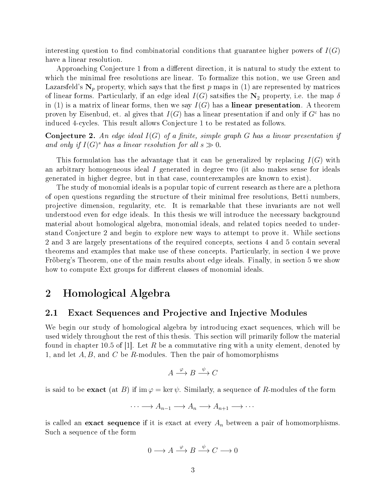interesting question to find combinatorial conditions that guarantee higher powers of  $I(G)$ have a linear resolution.

Approaching Conjecture 1 from a different direction, it is natural to study the extent to which the minimal free resolutions are linear. To formalize this notion, we use Green and Lazarsfeld's  $N_p$  property, which says that the first p maps in (1) are represented by matrices of linear forms. Particularly, if an edge ideal  $I(G)$  satsifies the  $\mathbb{N}_2$  property, i.e. the map  $\delta$ in (1) is a matrix of linear forms, then we say  $I(G)$  has a **linear presentation**. A theorem proven by Eisenbud, et. al gives that  $I(G)$  has a linear presentation if and only if  $G<sup>c</sup>$  has no induced 4-cycles. This result allows Conjecture 1 to be restated as follows.

**Conjecture 2.** An edge ideal  $I(G)$  of a finite, simple graph G has a linear presentation if and only if  $I(G)^s$  has a linear resolution for all  $s \gg 0$ .

This formulation has the advantage that it can be generalized by replacing  $I(G)$  with an arbitrary homogeneous ideal I generated in degree two (it also makes sense for ideals generated in higher degree, but in that case, counterexamples are known to exist).

The study of monomial ideals is a popular topic of current research as there are a plethora of open questions regarding the structure of their minimal free resolutions, Betti numbers, projective dimension, regularity, etc. It is remarkable that these invariants are not well understood even for edge ideals. In this thesis we will introduce the necessary background material about homological algebra, monomial ideals, and related topics needed to understand Conjecture 2 and begin to explore new ways to attempt to prove it. While sections 2 and 3 are largely presentations of the required concepts, sections 4 and 5 contain several theorems and examples that make use of these concepts. Particularly, in section 4 we prove Fröberg's Theorem, one of the main results about edge ideals. Finally, in section 5 we show how to compute Ext groups for different classes of monomial ideals.

## 2 Homological Algebra

### 2.1 Exact Sequences and Projective and Injective Modules

We begin our study of homological algebra by introducing exact sequences, which will be used widely throughout the rest of this thesis. This section will primarily follow the material found in chapter 10.5 of |1|. Let R be a commutative ring with a unity element, denoted by 1, and let  $A, B$ , and  $C$  be  $R$ -modules. Then the pair of homomorphisms

$$
A \xrightarrow{\varphi} B \xrightarrow{\psi} C
$$

is said to be **exact** (at B) if  $\text{im } \varphi = \text{ker } \psi$ . Similarly, a sequence of R-modules of the form

$$
\cdots \longrightarrow A_{n-1} \longrightarrow A_n \longrightarrow A_{n+1} \longrightarrow \cdots
$$

is called an **exact sequence** if it is exact at every  $A_n$  between a pair of homomorphisms. Such a sequence of the form

$$
0 \longrightarrow A \xrightarrow{\varphi} B \xrightarrow{\psi} C \longrightarrow 0
$$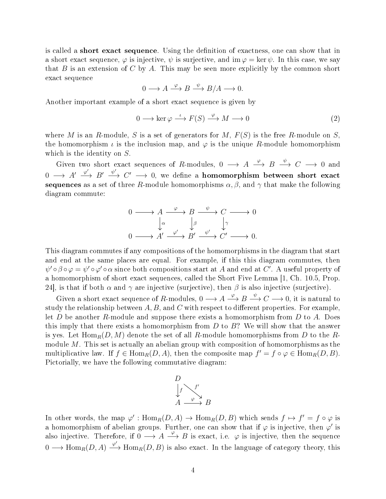is called a **short exact sequence**. Using the definition of exactness, one can show that in a short exact sequence,  $\varphi$  is injective,  $\psi$  is surjective, and im  $\varphi = \ker \psi$ . In this case, we say that  $B$  is an extension of  $C$  by  $A$ . This may be seen more explicitly by the common short exact sequence

$$
0 \longrightarrow A \xrightarrow{\varphi} B \xrightarrow{\psi} B/A \longrightarrow 0.
$$

Another important example of a short exact sequence is given by

$$
0 \longrightarrow \ker \varphi \stackrel{\iota}{\longrightarrow} F(S) \stackrel{\varphi}{\longrightarrow} M \longrightarrow 0 \tag{2}
$$

where M is an R-module, S is a set of generators for M,  $F(S)$  is the free R-module on S. the homomorphism  $\iota$  is the inclusion map, and  $\varphi$  is the unique R-module homomorphism which is the identity on S.

Given two short exact sequences of R-modules,  $0 \longrightarrow A \stackrel{\varphi}{\longrightarrow} B \stackrel{\psi}{\longrightarrow} C \longrightarrow 0$  and  $0\,\longrightarrow\, A'\,\stackrel{\varphi'}{\longrightarrow}\, B'\,\stackrel{\psi'}{\longrightarrow}\, C'\,\longrightarrow\, 0, \,\,\text{we define a \,\, homomorphism \,\, between \,\, short \,\, exact}$ sequences as a set of three R-module homomorphisms  $\alpha$ ,  $\beta$ , and  $\gamma$  that make the following diagram commute:

$$
0 \longrightarrow A \xrightarrow{\varphi} B \xrightarrow{\psi} C \longrightarrow 0
$$
  

$$
\downarrow^{\alpha} \qquad \downarrow^{\beta} \qquad \downarrow^{\gamma}
$$
  

$$
0 \longrightarrow A' \xrightarrow{\varphi'} B' \xrightarrow{\psi'} C' \longrightarrow 0.
$$

This diagram commutes if any compositions of the homomorphisms in the diagram that start and end at the same places are equal. For example, if this this diagram commutes, then  $\psi' \circ \beta \circ \varphi = \psi' \circ \varphi' \circ \alpha$  since both compositions start at A and end at C'. A useful property of a homomorphism of short exact sequences, called the Short Five Lemma [1, Ch. 10.5, Prop. 24], is that if both  $\alpha$  and  $\gamma$  are injective (surjective), then  $\beta$  is also injective (surjective).

Given a short exact sequence of R-modules,  $0 \longrightarrow A \stackrel{\varphi}{\longrightarrow} B \stackrel{\psi}{\longrightarrow} C \longrightarrow 0$ , it is natural to study the relationship between  $A, B$ , and C with respect to different properties. For example, let D be another R-module and suppose there exists a homomorphism from D to A. Does this imply that there exists a homomorphism from  $D$  to  $B$ ? We will show that the answer is yes. Let  $\text{Hom}_R(D, M)$  denote the set of all R-module homomorphisms from D to the Rmodule M. This set is actually an abelian group with composition of homomorphisms as the multiplicative law. If  $f \in \text{Hom}_R(D, A)$ , then the composite map  $f' = f \circ \varphi \in \text{Hom}_R(D, B)$ . Pictorially, we have the following commutative diagram:



In other words, the map  $\varphi' : \text{Hom}_R(D, A) \to \text{Hom}_R(D, B)$  which sends  $f \mapsto f' = f \circ \varphi$  is a homomorphism of abelian groups. Further, one can show that if  $\varphi$  is injective, then  $\varphi'$  is also injective. Therefore, if  $0 \longrightarrow A \stackrel{\varphi}{\longrightarrow} B$  is exact, i.e.  $\varphi$  is injective, then the sequence 0 →  $\text{Hom}_R(D, A) \xrightarrow{\varphi'} \text{Hom}_R(D, B)$  is also exact. In the language of category theory, this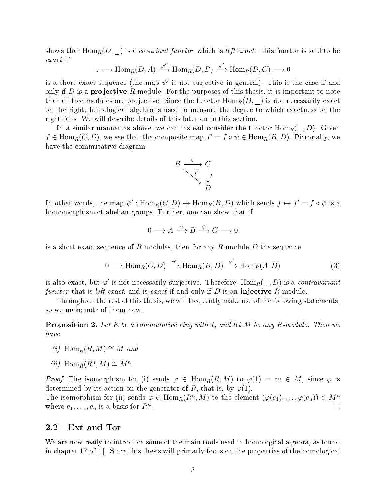shows that  $\text{Hom}_R(D, \underline{\hspace{1cm}})$  is a *covariant functor* which is *left exact*. This functor is said to be exact if

$$
0 \longrightarrow \text{Hom}_{R}(D, A) \xrightarrow{\varphi'} \text{Hom}_{R}(D, B) \xrightarrow{\psi'} \text{Hom}_{R}(D, C) \longrightarrow 0
$$

is a short exact sequence (the map  $\psi'$  is not surjective in general). This is the case if and only if D is a **projective** R-module. For the purposes of this thesis, it is important to note that all free modules are projective. Since the functor  $\text{Hom}_R(D, \cdot)$  is not necessarily exact on the right, homological algebra is used to measure the degree to which exactness on the right fails. We will describe details of this later on in this section.

In a similar manner as above, we can instead consider the functor  $\text{Hom}_R(\cdot, D)$ . Given  $f \in \text{Hom}_{R}(C, D)$ , we see that the composite map  $f' = f \circ \psi \in \text{Hom}_{R}(B, D)$ . Pictorially, we have the commutative diagram:



In other words, the map  $\psi': \text{Hom}_R(C, D) \to \text{Hom}_R(B, D)$  which sends  $f \mapsto f' = f \circ \psi$  is a homomorphism of abelian groups. Further, one can show that if

$$
0 \longrightarrow A \xrightarrow{\varphi} B \xrightarrow{\psi} C \longrightarrow 0
$$

is a short exact sequence of R-modules, then for any R-module  $D$  the sequence

$$
0 \longrightarrow \text{Hom}_{R}(C, D) \xrightarrow{\psi'} \text{Hom}_{R}(B, D) \xrightarrow{\varphi'} \text{Hom}_{R}(A, D) \tag{3}
$$

is also exact, but  $\varphi'$  is not necessarily surjective. Therefore,  $\mathrm{Hom}_R(\_,D)$  is a *contravariant* functor that is left exact, and is exact if and only if  $D$  is an injective R-module.

Throughout the rest of this thesis, we will frequently make use of the following statements, so we make note of them now.

**Proposition 2.** Let R be a commutative ring with 1, and let M be any R-module. Then we have

- (i) Hom<sub>R</sub> $(R, M) \cong M$  and
- (*ii*)  $\text{Hom}_R(R^n, M) \cong M^n$ .

*Proof.* The isomorphism for (i) sends  $\varphi \in \text{Hom}_R(R,M)$  to  $\varphi(1) = m \in M$ , since  $\varphi$  is determined by its action on the generator of R, that is, by  $\varphi(1)$ .

The isomorphism for (ii) sends  $\varphi \in \text{Hom}_R(R^n, M)$  to the element  $(\varphi(e_1), \ldots, \varphi(e_n)) \in M^n$ where  $e_1, \ldots, e_n$  is a basis for  $R^n$ .  $\Box$ 

#### 2.2 Ext and Tor

We are now ready to introduce some of the main tools used in homological algebra, as found in chapter 17 of [1]. Since this thesis will primarly focus on the properties of the homological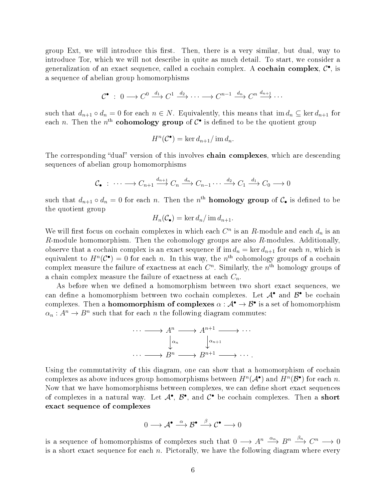group Ext, we will introduce this first. Then, there is a very similar, but dual, way to introduce Tor, which we will not describe in quite as much detail. To start, we consider a generalization of an exact sequence, called a cochain complex. A cochain complex,  $\mathcal{C}^{\bullet}$ , is a sequence of abelian group homomorphisms

$$
\mathcal{C}^{\bullet} \; : \; 0 \longrightarrow C^{0} \xrightarrow{d_1} C^{1} \xrightarrow{d_2} \cdots \longrightarrow C^{n-1} \xrightarrow{d_n} C^{n} \xrightarrow{d_{n+1}} \cdots
$$

such that  $d_{n+1} \circ d_n = 0$  for each  $n \in N$ . Equivalently, this means that  $\text{im } d_n \subseteq \text{ker } d_{n+1}$  for each n. Then the  $n^{\text{th}}$  cohomology group of  $\mathcal{C}^{\bullet}$  is defined to be the quotient group

$$
H^n(\mathcal{C}^{\bullet}) = \ker d_{n+1} / \operatorname{im} d_n.
$$

The corresponding "dual" version of this involves **chain complexes**, which are descending sequences of abelian group homomorphisms

$$
\mathcal{C}_{\bullet}: \cdots \longrightarrow C_{n+1} \xrightarrow{d_{n+1}} C_n \xrightarrow{d_n} C_{n-1} \cdots \xrightarrow{d_2} C_1 \xrightarrow{d_1} C_0 \longrightarrow 0
$$

such that  $d_{n+1} \circ d_n = 0$  for each n. Then the  $n^{\text{th}}$  **homology group** of  $\mathcal{C}_{\bullet}$  is defined to be the quotient group

$$
H_n(\mathcal{C}_\bullet) = \ker d_n / \operatorname{im} d_{n+1}.
$$

We will first focus on cochain complexes in which each  $C<sup>n</sup>$  is an R-module and each  $d<sub>n</sub>$  is an  $R$ -module homomorphism. Then the cohomology groups are also  $R$ -modules. Additionally, observe that a cochain complex is an exact sequence if im  $d_n = \ker d_{n+1}$  for each n, which is equivalent to  $H^n(\mathcal{C}^{\bullet}) = 0$  for each n. In this way, the  $n^{\text{th}}$  cohomology groups of a cochain complex measure the failure of exactness at each  $C<sup>n</sup>$ . Similarly, the  $n<sup>th</sup>$  homology groups of a chain complex measure the failure of exactness at each  $C_n$ .

As before when we defined a homomorphism between two short exact sequences, we can define a homomorphism between two cochain complexes. Let  $A^{\bullet}$  and  $B^{\bullet}$  be cochain complexes. Then a **homomorphism of complexes**  $\alpha : A^{\bullet} \to B^{\bullet}$  is a set of homomorphism  $\alpha_n : A^n \to B^n$  such that for each n the following diagram commutes:



Using the commutativity of this diagram, one can show that a homomorphism of cochain complexes as above induces group homomorphisms between  $H^n(\mathcal{A}^{\bullet})$  and  $H^n(\mathcal{B}^{\bullet})$  for each n. Now that we have homomorphisms between complexes, we can define short exact sequences of complexes in a natural way. Let  $\mathcal{A}^{\bullet}$ ,  $\mathcal{B}^{\bullet}$ , and  $\mathcal{C}^{\bullet}$  be cochain complexes. Then a short exact sequence of complexes

$$
0 \longrightarrow \mathcal{A}^{\bullet} \stackrel{\alpha}{\longrightarrow} \mathcal{B}^{\bullet} \stackrel{\beta}{\longrightarrow} \mathcal{C}^{\bullet} \longrightarrow 0
$$

is a sequence of homomorphisms of complexes such that  $0 \longrightarrow A^n \stackrel{\alpha_n}{\longrightarrow} B^n \stackrel{\beta_n}{\longrightarrow} C^n \longrightarrow 0$ is a short exact sequence for each  $n$ . Pictorally, we have the following diagram where every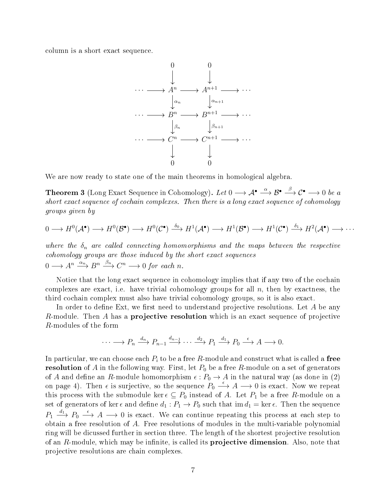column is a short exact sequence.



We are now ready to state one of the main theorems in homological algebra.

Theorem 3 (Long Exact Sequence in Cohomology). Let  $0\longrightarrow \mathcal{A}^\bullet\stackrel{\alpha}{\longrightarrow}\mathcal{B}^\bullet\stackrel{\beta}{\longrightarrow}\mathcal{C}^\bullet\longrightarrow 0$  be a short exact sequence of cochain complexes. Then there is a long exact sequence of cohomology groups given by

$$
0 \longrightarrow H^0(\mathcal{A}^{\bullet}) \longrightarrow H^0(\mathcal{B}^{\bullet}) \longrightarrow H^0(\mathcal{C}^{\bullet}) \stackrel{\delta_0}{\longrightarrow} H^1(\mathcal{A}^{\bullet}) \longrightarrow H^1(\mathcal{B}^{\bullet}) \longrightarrow H^1(\mathcal{C}^{\bullet}) \stackrel{\delta_1}{\longrightarrow} H^2(\mathcal{A}^{\bullet}) \longrightarrow \cdots
$$

where the  $\delta_n$  are called connecting homomorphisms and the maps between the respective cohomology groups are those induced by the short exact sequences  $0 \longrightarrow A^n \stackrel{\alpha_n}{\longrightarrow} B^n \stackrel{\beta_n}{\longrightarrow} C^n \longrightarrow 0$  for each n.

Notice that the long exact sequence in cohomology implies that if any two of the cochain complexes are exact, i.e. have trivial cohomology groups for all  $n$ , then by exactness, the third cochain complex must also have trivial cohomology groups, so it is also exact.

In order to define Ext, we first need to understand projective resolutions. Let  $A$  be any R-module. Then A has a projective resolution which is an exact sequence of projective R-modules of the form

$$
\cdots \longrightarrow P_n \xrightarrow{d_n} P_{n-1} \xrightarrow{d_{n-1}} \cdots \xrightarrow{d_2} P_1 \xrightarrow{d_1} P_0 \xrightarrow{\epsilon} A \longrightarrow 0.
$$

In particular, we can choose each  $P_i$  to be a free R-module and construct what is called a free **resolution** of A in the following way. First, let  $P_0$  be a free R-module on a set of generators of A and define an R-module homomorphism  $\epsilon: P_0 \to A$  in the natural way (as done in (2) on page 4). Then  $\epsilon$  is surjective, so the sequence  $P_0 \stackrel{\epsilon}{\longrightarrow} A \longrightarrow 0$  is exact. Now we repeat this process with the submodule ker  $\epsilon \subseteq P_0$  instead of A. Let  $P_1$  be a free R-module on a set of generators of ker  $\epsilon$  and define  $d_1 : P_1 \to P_0$  such that  $\text{im } d_1 = \text{ker } \epsilon$ . Then the sequence  $P_1 \stackrel{d_1}{\longrightarrow} P_0 \stackrel{\epsilon}{\longrightarrow} A \longrightarrow 0$  is exact. We can continue repeating this process at each step to obtain a free resolution of A. Free resolutions of modules in the multi-variable polynomial ring will be dicussed further in section three. The length of the shortest projective resolution of an  $R$ -module, which may be infinite, is called its **projective dimension**. Also, note that projective resolutions are chain complexes.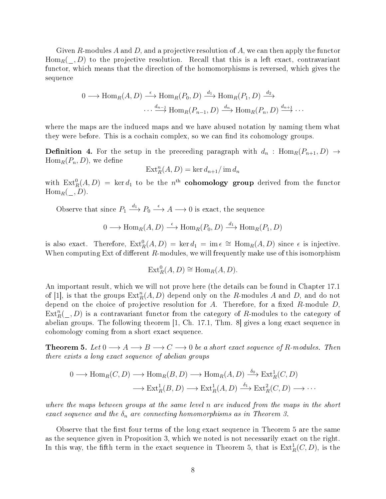Given R-modules A and D, and a projective resolution of A, we can then apply the functor  $\text{Hom}_R(-, D)$  to the projective resolution. Recall that this is a left exact, contravariant functor, which means that the direction of the homomorphisms is reversed, which gives the sequence

$$
0 \longrightarrow \text{Hom}_{R}(A, D) \stackrel{\epsilon}{\longrightarrow} \text{Hom}_{R}(P_{0}, D) \stackrel{d_{1}}{\longrightarrow} \text{Hom}_{R}(P_{1}, D) \stackrel{d_{2}}{\longrightarrow}
$$

$$
\cdots \stackrel{d_{n-1}}{\longrightarrow} \text{Hom}_{R}(P_{n-1}, D) \stackrel{d_{n}}{\longrightarrow} \text{Hom}_{R}(P_{n}, D) \stackrel{d_{n+1}}{\longrightarrow} \cdots
$$

where the maps are the induced maps and we have abused notation by naming them what they were before. This is a cochain complex, so we can find its cohomology groups.

**Definition 4.** For the setup in the preceeding paragraph with  $d_n$ : Hom<sub>R</sub> $(P_{n+1}, D) \rightarrow$  $\text{Hom}_R(P_n, D)$ , we define

$$
\operatorname{Ext}^n_R(A, D) = \ker d_{n+1} / \operatorname{im} d_n
$$

with  $\text{Ext}^0_R(A, D) = \text{ker }d_1$  to be the  $n^{\text{th}}$  cohomology group derived from the functor  $\text{Hom}_R(-, D)$ .

Observe that since  $P_1 \xrightarrow{d_1} P_0 \xrightarrow{\epsilon} A \longrightarrow 0$  is exact, the sequence

$$
0 \longrightarrow \text{Hom}_{R}(A, D) \stackrel{\epsilon}{\longrightarrow} \text{Hom}_{R}(P_{0}, D) \stackrel{d_{1}}{\longrightarrow} \text{Hom}_{R}(P_{1}, D)
$$

is also exact. Therefore,  $\text{Ext}^0_R(A, D) = \ker d_1 = \text{im } \epsilon \cong \text{Hom}_R(A, D)$  since  $\epsilon$  is injective. When computing Ext of different  $R$ -modules, we will frequently make use of this isomorphism

$$
Ext_R^0(A, D) \cong Hom_R(A, D).
$$

An important result, which we will not prove here (the details can be found in Chapter 17.1 of [1], is that the groups  $\text{Ext}^n_R(A, D)$  depend only on the R-modules A and D, and do not depend on the choice of projective resolution for A. Therefore, for a fixed  $R$ -module  $D$ ,  $\text{Ext}_{R}^{n}(\_, D)$  is a contravariant functor from the category of R-modules to the category of abelian groups. The following theorem [1, Ch. 17.1, Thm. 8] gives a long exact sequence in cohomology coming from a short exact sequence.

**Theorem 5.** Let  $0 \longrightarrow A \longrightarrow B \longrightarrow C \longrightarrow 0$  be a short exact sequence of R-modules. Then there exists a long exact sequence of abelian groups

$$
0 \longrightarrow \text{Hom}_{R}(C, D) \longrightarrow \text{Hom}_{R}(B, D) \longrightarrow \text{Hom}_{R}(A, D) \xrightarrow{\delta_{0}} \text{Ext}_{R}^{1}(C, D)
$$

$$
\longrightarrow \text{Ext}_{R}^{1}(B, D) \longrightarrow \text{Ext}_{R}^{1}(A, D) \xrightarrow{\delta_{1}} \text{Ext}_{R}^{2}(C, D) \longrightarrow \cdots
$$

where the maps between groups at the same level n are induced from the maps in the short exact sequence and the  $\delta_n$  are connecting homomorphisms as in Theorem 3.

Observe that the first four terms of the long exact sequence in Theorem 5 are the same as the sequence given in Proposition 3, which we noted is not necessarily exact on the right. In this way, the fifth term in the exact sequence in Theorem 5, that is  $\mathrm{Ext}^1_R(C,D)$ , is the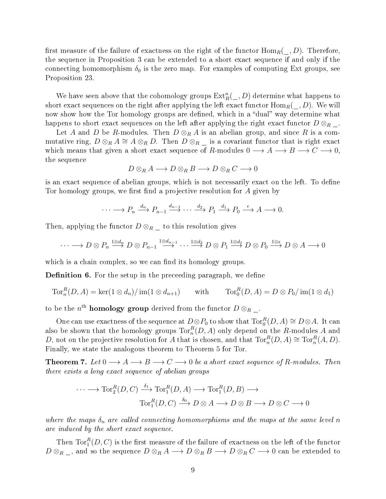first measure of the failure of exactness on the right of the functor  $\text{Hom}_R(\_, D)$ . Therefore, the sequence in Proposition 3 can be extended to a short exact sequence if and only if the connecting homomorphism  $\delta_0$  is the zero map. For examples of computing Ext groups, see Proposition 23.

We have seen above that the cohomology groups  $\text{Ext}_{R}^{n}(\_, D)$  determine what happens to short exact sequences on the right after applying the left exact functor  $\text{Hom}_R(\_, D)$ . We will now show how the Tor homology groups are defined, which in a "dual" way determine what happens to short exact sequences on the left after applying the right exact functor  $D \otimes_R \Delta$ .

Let A and D be R-modules. Then  $D \otimes_R A$  is an abelian group, and since R is a commutative ring,  $D \otimes_R A \cong A \otimes_R D$ . Then  $D \otimes_R \square$  is a covariant functor that is right exact which means that given a short exact sequence of R-modules  $0 \longrightarrow A \longrightarrow B \longrightarrow C \longrightarrow 0$ , the sequence

$$
D\otimes_R A \longrightarrow D\otimes_R B \longrightarrow D\otimes_R C \longrightarrow 0
$$

is an exact sequence of abelian groups, which is not necessarily exact on the left. To define Tor homology groups, we first find a projective resolution for  $\tilde{A}$  given by

$$
\cdots \longrightarrow P_n \xrightarrow{d_n} P_{n-1} \xrightarrow{d_{n-1}} \cdots \xrightarrow{d_2} P_1 \xrightarrow{d_1} P_0 \xrightarrow{\epsilon} A \longrightarrow 0.
$$

Then, applying the functor  $D \otimes_R$  to this resolution gives

$$
\cdots \longrightarrow D \otimes P_n \stackrel{1 \otimes d_n}{\longrightarrow} D \otimes P_{n-1} \stackrel{1 \otimes d_{n-1}}{\longrightarrow} \cdots \stackrel{1 \otimes d_2}{\longrightarrow} D \otimes P_1 \stackrel{1 \otimes d_1}{\longrightarrow} D \otimes P_0 \stackrel{1 \otimes \epsilon}{\longrightarrow} D \otimes A \longrightarrow 0
$$

which is a chain complex, so we can find its homology groups.

**Definition 6.** For the setup in the preceeding paragraph, we define

$$
\operatorname{Tor}_n^R(D, A) = \ker(1 \otimes d_n) / \operatorname{im}(1 \otimes d_{n+1}) \qquad \text{with} \qquad \operatorname{Tor}_0^R(D, A) = D \otimes P_0 / \operatorname{im}(1 \otimes d_1)
$$

to be the  $n^{\text{th}}$  homology group derived from the functor  $D\otimes_{R_{-}}$ .

One can use exactness of the sequence at  $D \otimes P_0$  to show that  $\text{Tor}_0^R(D,A) \cong D \otimes A$ . It can also be shown that the homology groups  $\text{Tor}_n^R(D,A)$  only depend on the R-modules A and D, not on the projective resolution for A that is chosen, and that  $\text{Tor}_n^R(D, A) \cong \text{Tor}_n^R(A, D)$ . Finally, we state the analogous theorem to Theorem 5 for Tor.

**Theorem 7.** Let  $0 \longrightarrow A \longrightarrow B \longrightarrow C \longrightarrow 0$  be a short exact sequence of R-modules. Then there exists a long exact sequence of abelian groups

$$
\cdots \longrightarrow \operatorname{Tor}_2^R(D, C) \xrightarrow{\delta_1} \operatorname{Tor}_1^R(D, A) \longrightarrow \operatorname{Tor}_1^R(D, B) \longrightarrow
$$

$$
\operatorname{Tor}_1^R(D, C) \xrightarrow{\delta_0} D \otimes A \longrightarrow D \otimes B \longrightarrow D \otimes C \longrightarrow 0
$$

where the maps  $\delta_n$  are called connecting homomorphisms and the maps at the same level n are induced by the short exact sequence.

Then  $\operatorname{Tor}^R_1(D,C)$  is the first measure of the failure of exactness on the left of the functor  $D \otimes_R \_$ , and so the sequence  $D \otimes_R A \longrightarrow D \otimes_R B \longrightarrow D \otimes_R C \longrightarrow 0$  can be extended to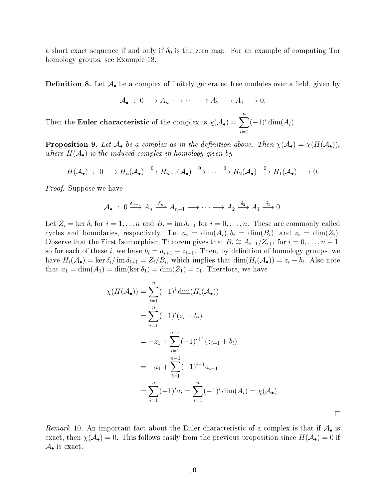a short exact sequence if and only if  $\delta_0$  is the zero map. For an example of computing Tor homology groups, see Example 18.

**Definition 8.** Let  $\mathcal{A}_{\bullet}$  be a complex of finitely generated free modules over a field, given by

$$
\mathcal{A}_{\bullet} : 0 \longrightarrow A_n \longrightarrow \cdots \longrightarrow A_2 \longrightarrow A_1 \longrightarrow 0.
$$

Then the Euler characteristic of the complex is  $\chi(\mathcal{A}_{\bullet}) = \sum_{n=1}^{n}$  $i=1$  $(-1)^i \dim(A_i).$ 

**Proposition 9.** Let  $A_{\bullet}$  be a complex as in the definition above. Then  $\chi(A_{\bullet}) = \chi(H(A_{\bullet})),$ where  $H(A_{\bullet})$  is the induced complex in homology given by

$$
H(\mathcal{A}_{\bullet}) \; : \; 0 \longrightarrow H_n(\mathcal{A}_{\bullet}) \stackrel{0}{\longrightarrow} H_{n-1}(\mathcal{A}_{\bullet}) \stackrel{0}{\longrightarrow} \cdots \stackrel{0}{\longrightarrow} H_2(\mathcal{A}_{\bullet}) \stackrel{0}{\longrightarrow} H_1(\mathcal{A}_{\bullet}) \longrightarrow 0.
$$

Proof. Suppose we have

$$
\mathcal{A}_{\bullet} \; : \; 0 \xrightarrow{\delta_{n+1}} A_n \xrightarrow{\delta_n} A_{n-1} \longrightarrow \cdots \longrightarrow A_2 \xrightarrow{\delta_2} A_1 \xrightarrow{\delta_1} 0.
$$

Let  $Z_i = \ker \delta_i$  for  $i = 1, ..., n$  and  $B_i = \operatorname{im} \delta_{i+1}$  for  $i = 0, ..., n$ . These are commonly called cycles and boundaries, respectively. Let  $a_i = \dim(A_i)$ ,  $b_i = \dim(B_i)$ , and  $z_i = \dim(Z_i)$ . Observe that the First Isomorphism Theorem gives that  $B_i \cong A_{i+1}/Z_{i+1}$  for  $i = 0, \ldots, n-1$ , so for each of these i, we have  $b_i = a_{i+1} - z_{i+1}$ . Then, by definition of homology groups, we have  $H_i(\mathcal{A}_{\bullet}) = \ker \delta_i / \text{ im } \delta_{i+1} = Z_i/B_i$ , which implies that  $\dim(H_i(\mathcal{A}_{\bullet})) = z_i - b_i$ . Also note that  $a_1 = \dim(A_1) = \dim(\ker \delta_1) = \dim(Z_1) = z_1$ . Therefore, we have

$$
\chi(H(\mathcal{A}_{\bullet})) = \sum_{i=1}^{n} (-1)^{i} \dim(H_{i}(\mathcal{A}_{\bullet}))
$$
  
= 
$$
\sum_{i=1}^{n} (-1)^{i} (z_{i} - b_{i})
$$
  
= 
$$
-z_{1} + \sum_{i=1}^{n-1} (-1)^{i+1} (z_{i+1} + b_{i})
$$
  
= 
$$
-a_{1} + \sum_{i=1}^{n-1} (-1)^{i+1} a_{i+1}
$$
  
= 
$$
\sum_{i=1}^{n} (-1)^{i} a_{i} = \sum_{i=1}^{n} (-1)^{i} \dim(A_{i}) = \chi(\mathcal{A}_{\bullet}).
$$

 $\Box$ 

Remark 10. An important fact about the Euler characteristic of a complex is that if  $A_{\bullet}$  is exact, then  $\chi(A_{\bullet})=0$ . This follows easily from the previous proposition since  $H(A_{\bullet})=0$  if  $\mathcal{A}_{\bullet}$  is exact.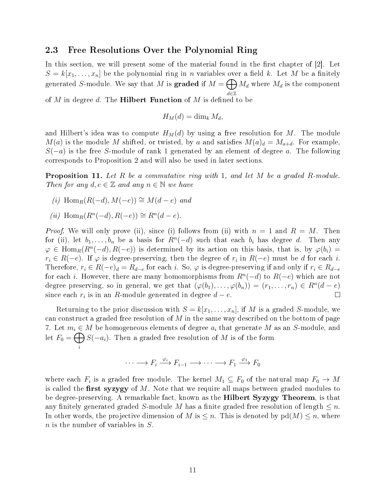## 2.3 Free Resolutions Over the Polynomial Ring

In this section, we will present some of the material found in the first chapter of  $[2]$ . Let  $S = k[x_1, \ldots, x_n]$  be the polynomial ring in n variables over a field k. Let M be a finitely generated *S*-module. We say that  $M$  is  $\mathbf{graded}$  if  $M = \bigoplus M_d$  where  $M_d$  is the component d∈Z

of M in degree d. The **Hilbert Function** of M is defined to be

$$
H_M(d) = \dim_k M_d,
$$

and Hilbert's idea was to compute  $H_M(d)$  by using a free resolution for M. The module  $M(a)$  is the module M shifted, or twisted, by a and satisfies  $M(a)<sub>d</sub> = M<sub>a+d</sub>$ . For example,  $S(-a)$  is the free S-module of rank 1 generated by an element of degree a. The following corresponds to Proposition 2 and will also be used in later sections.

**Proposition 11.** Let R be a commutative ring with 1, and let M be a graded R-module. Then for any  $d, e \in \mathbb{Z}$  and any  $n \in \mathbb{N}$  we have

- (i) Hom $_R(R(-d), M(-e)) \cong M(d-e)$  and
- (ii)  $\text{Hom}_R(R^n(-d), R(-e)) \cong R^n(d-e)$ .

*Proof.* We will only prove (ii), since (i) follows from (ii) with  $n = 1$  and  $R = M$ . Then for (ii), let  $b_1, \ldots, b_n$  be a basis for  $R^n(-d)$  such that each  $b_i$  has degree d. Then any  $\varphi \in \text{Hom}_{R}(R^{n}(-d), R(-e))$  is determined by its action on this basis, that is, by  $\varphi(b_i) =$  $r_i \in R(-e)$ . If  $\varphi$  is degree-preserving, then the degree of  $r_i$  in  $R(-e)$  must be d for each i. Therefore,  $r_i \in R(-e)<sub>d</sub> = R<sub>d-e</sub>$  for each i. So,  $\varphi$  is degree-preserving if and only if  $r_i \in R_{d-e}$ for each *i*. However, there are many homomorphisms from  $R<sup>n</sup>(-d)$  to  $R(-e)$  which are not degree preserving, so in general, we get that  $(\varphi(b_1), \ldots, \varphi(b_n)) = (r_1, \ldots, r_n) \in R^n(d-e)$ since each  $r_i$  is in an R-module generated in degree  $d - e$ .  $\Box$ 

Returning to the prior discussion with  $S = k[x_1, \ldots, x_n]$ , if M is a graded S-module, we can construct a graded free resolution of  $M$  in the same way described on the bottom of page 7. Let  $m_i \in M$  be homogeneous elements of degree  $a_i$  that generate M as an S-module, and let  $F_0 = \bigoplus$ i  $S(-a_i)$ . Then a graded free resolution of M is of the form

$$
\cdots \longrightarrow F_i \xrightarrow{\varphi_i} F_{i-1} \longrightarrow \cdots \longrightarrow F_1 \xrightarrow{\varphi_1} F_0
$$

where each  $F_i$  is a graded free module. The kernel  $M_1 \subseteq F_0$  of the natural map  $F_0 \to M$ is called the first syzygy of  $M$ . Note that we require all maps between graded modules to be degree-preserving. A remarkable fact, known as the Hilbert Syzygy Theorem, is that any finitely generated graded S-module M has a finite graded free resolution of length  $\leq n$ . In other words, the projective dimension of M is  $\leq n$ . This is denoted by  $pd(M) \leq n$ , where n is the number of variables in S.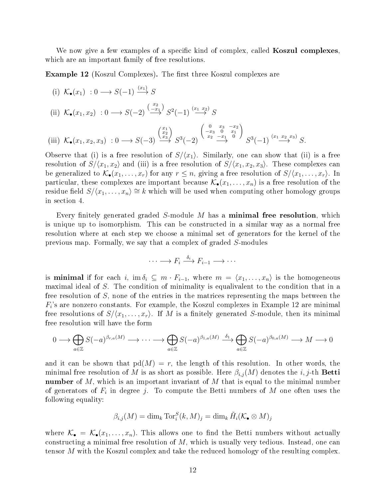We now give a few examples of a specific kind of complex, called **Koszul complexes**. which are an important family of free resolutions.

**Example 12** (Koszul Complexes). The first three Koszul complexes are

(i) 
$$
K_{\bullet}(x_1) : 0 \longrightarrow S(-1) \xrightarrow{(x_1)} S
$$
  
\n(ii)  $K_{\bullet}(x_1, x_2) : 0 \longrightarrow S(-2) \xrightarrow{\begin{pmatrix} x_2 \\ -x_1 \end{pmatrix}} S^2(-1) \xrightarrow{(x_1 - x_2)} S$   
\n(iii)  $K_{\bullet}(x_1, x_2, x_3) : 0 \longrightarrow S(-3) \xrightarrow{\begin{pmatrix} x_1 \\ x_2 \\ x_3 \end{pmatrix}} S^3(-2) \xrightarrow{\begin{pmatrix} 0 & x_3 & -x_2 \\ -x_3 & 0 & x_1 \\ x_2 & -x_1 & 0 \end{pmatrix}} S^3(-1)^{(x_1 - x_2 - x_3)} S.$ 

Observe that (i) is a free resolution of  $S/\langle x_1 \rangle$ . Similarly, one can show that (ii) is a free resolution of  $S/(x_1, x_2)$  and (iii) is a free resolution of  $S/(x_1, x_2, x_3)$ . These complexes can be generalized to  $\mathcal{K}_{\bullet}(x_1,\ldots,x_r)$  for any  $r \leq n$ , giving a free resolution of  $S/\langle x_1,\ldots,x_r\rangle$ . In particular, these complexes are important because  $\mathcal{K}_{\bullet}(x_1,\ldots,x_n)$  is a free resolution of the residue field  $S/(x_1, \ldots, x_n) \cong k$  which will be used when computing other homology groups in section 4.

Every finitely generated graded S-module M has a **minimal free resolution**, which is unique up to isomorphism. This can be constructed in a similar way as a normal free resolution where at each step we choose a minimal set of generators for the kernel of the previous map. Formally, we say that a complex of graded S-modules

$$
\cdots \longrightarrow F_i \stackrel{\delta_i}{\longrightarrow} F_{i-1} \longrightarrow \cdots
$$

is **minimal** if for each i, im  $\delta_i \subseteq m \cdot F_{i-1}$ , where  $m = \langle x_1, \ldots, x_n \rangle$  is the homogeneous maximal ideal of S. The condition of minimality is equalivalent to the condition that in a free resolution of S, none of the entries in the matrices representing the maps between the  $F_i$ 's are nonzero constants. For example, the Koszul complexes in Example 12 are minimal free resolutions of  $S/(x_1, \ldots, x_r)$ . If M is a finitely generated S-module, then its minimal free resolution will have the form

$$
0 \longrightarrow \bigoplus_{a \in \mathbb{Z}} S(-a)^{\beta_{r,a}(M)} \longrightarrow \cdots \longrightarrow \bigoplus_{a \in \mathbb{Z}} S(-a)^{\beta_{1,a}(M)} \stackrel{\delta_1}{\longrightarrow} \bigoplus_{a \in \mathbb{Z}} S(-a)^{\beta_{0,a}(M)} \longrightarrow M \longrightarrow 0
$$

and it can be shown that  $pd(M) = r$ , the length of this resolution. In other words, the minimal free resolution of M is as short as possible. Here  $\beta_{i,j}(M)$  denotes the i, j-th **Betti** number of M, which is an important invariant of M that is equal to the minimal number of generators of  $F_i$  in degree j. To compute the Betti numbers of M one often uses the following equality:

$$
\beta_{i,j}(M) = \dim_k \operatorname{Tor}_i^S(k, M)_j = \dim_k \tilde{H}_i(\mathcal{K}_\bullet \otimes M)_j
$$

where  $\mathcal{K}_{\bullet} = \mathcal{K}_{\bullet}(x_1,\ldots,x_n)$ . This allows one to find the Betti numbers without actually constructing a minimal free resolution of  $M$ , which is usually very tedious. Instead, one can tensor M with the Koszul complex and take the reduced homology of the resulting complex.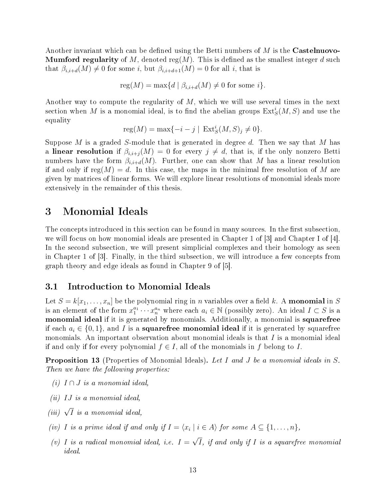Another invariant which can be defined using the Betti numbers of  $M$  is the **Castelnuovo-Mumford regularity** of M, denoted reg(M). This is defined as the smallest integer d such that  $\beta_{i,i+d}(M) \neq 0$  for some i, but  $\beta_{i,i+d+1}(M) = 0$  for all i, that is

$$
reg(M) = max{d | \beta_{i,i+d}(M) \neq 0 \text{ for some } i}.
$$

Another way to compute the regularity of  $M$ , which we will use several times in the next section when  $M$  is a monomial ideal, is to find the abelian groups  $\mathrm{Ext}^i_S(M,S)$  and use the equality

$$
reg(M) = max\{-i - j \mid Ext_S^i(M, S)_j \neq 0\}.
$$

Suppose M is a graded S-module that is generated in degree d. Then we say that M has a linear resolution if  $\beta_{i,i+j}(M) = 0$  for every  $j \neq d$ , that is, if the only nonzero Betti numbers have the form  $\beta_{i,i+d}(M)$ . Further, one can show that M has a linear resolution if and only if reg(M) = d. In this case, the maps in the minimal free resolution of M are given by matrices of linear forms. We will explore linear resolutions of monomial ideals more extensively in the remainder of this thesis.

## 3 Monomial Ideals

The concepts introduced in this section can be found in many sources. In the first subsection, we will focus on how monomial ideals are presented in Chapter 1 of [3] and Chapter I of [4]. In the second subsection, we will present simplicial complexes and their homology as seen in Chapter 1 of [3]. Finally, in the third subsection, we will introduce a few concepts from graph theory and edge ideals as found in Chapter 9 of [5].

## 3.1 Introduction to Monomial Ideals

Let  $S = k[x_1, \ldots, x_n]$  be the polynomial ring in *n* variables over a field k. A **monomial** in S is an element of the form  $x_1^{a_1}\cdots x_n^{a_n}$  where each  $a_i \in \mathbb{N}$  (possibly zero). An ideal  $I \subset S$  is a monomial ideal if it is generated by monomials. Additionally, a monomial is squarefree if each  $a_i \in \{0,1\}$ , and I is a **squarefree monomial ideal** if it is generated by squarefree monomials. An important observation about monomial ideals is that  $I$  is a monomial ideal if and only if for every polynomial  $f \in I$ , all of the monomials in f belong to I.

**Proposition 13** (Properties of Monomial Ideals). Let I and J be a monomial ideals in S. Then we have the following properties:

- (i)  $I \cap J$  is a monomial ideal,
- (ii) IJ is a monomial ideal,
- (iii)  $\sqrt{I}$  is a monomial ideal,
- (iv) I is a prime ideal if and only if  $I = \langle x_i \mid i \in A \rangle$  for some  $A \subseteq \{1, \ldots, n\},$
- (v) I is a radical monomial ideal, i.e.  $I =$ √ I, if and only if I is a squarefree monomial ideal.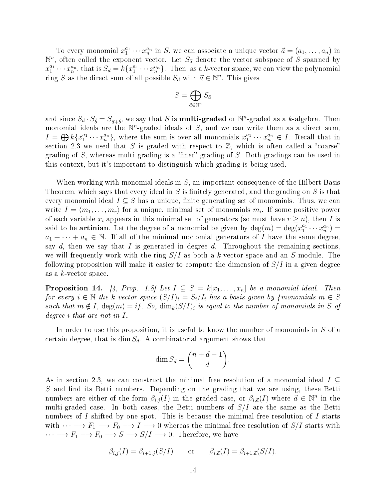To every monomial  $x_1^{a_1} \cdots x_n^{a_n}$  in S, we can associate a unique vector  $\vec{a} = (a_1, \ldots, a_n)$  in  $\mathbb{N}^n$ , often called the exponent vector. Let  $S_{\vec{a}}$  denote the vector subspace of S spanned by  $x_1^{a_1}\cdots x_n^{a_n}$ , that is  $S_{\vec{a}}=k\{x_1^{a_1}\cdots x_n^{a_n}\}$ . Then, as a k-vector space, we can view the polynomial ring S as the direct sum of all possible  $S_{\vec{a}}$  with  $\vec{a} \in \mathbb{N}^n$ . This gives

$$
S = \bigoplus_{\vec{a} \in \mathbb{N}^n} S_{\vec{a}}
$$

and since  $S_{\vec{a}} \cdot S_{\vec{b}} = S_{\vec{a}+\vec{b}}$ , we say that S is **multi-graded** or  $\mathbb{N}^n$ -graded as a k-algebra. Then monomial ideals are the  $\mathbb{N}^n$ -graded ideals of S, and we can write them as a direct sum,  $I = \bigoplus k\{x_1^{a_1} \cdots x_n^{a_n}\},\$  where the sum is over all monomials  $x_1^{a_1} \cdots x_n^{a_n} \in I.$  Recall that in section 2.3 we used that S is graded with respect to  $\mathbb{Z}$ , which is often called a "coarse" grading of  $S$ , whereas multi-grading is a "finer" grading of  $S$ . Both gradings can be used in this context, but it's important to distinguish which grading is being used.

When working with monomial ideals in S, an important consequence of the Hilbert Basis Theorem, which says that every ideal in S is finitely generated, and the grading on S is that every monomial ideal  $I \subseteq S$  has a unique, finite generating set of monomials. Thus, we can write  $I = \langle m_1, \ldots, m_r \rangle$  for a unique, minimal set of monomials  $m_i$ . If some positive power of each variable  $x_i$  appears in this minimal set of generators (so must have  $r \geq n$ ), then I is said to be **artinian**. Let the degree of a monomial be given by  $deg(m) = deg(x_1^{a_1} \cdots x_n^{a_n}) =$  $a_1 + \cdots + a_n \in \mathbb{N}$ . If all of the minimal monomial generators of I have the same degree, say d, then we say that I is generated in degree d. Throughout the remaining sections. we will frequently work with the ring  $S/I$  as both a k-vector space and an S-module. The following proposition will make it easier to compute the dimension of  $S/I$  in a given degree as a k-vector space.

**Proposition 14.** [4, Prop. 1.8] Let  $I \subseteq S = k[x_1, \ldots, x_n]$  be a monomial ideal. Then for every  $i \in \mathbb{N}$  the k-vector space  $(S/I)_i = S_i/I_i$  has a basis given by {monomials  $m \in S$ such that  $m \notin I$ ,  $deg(m) = i$ . So,  $dim_k(S/I)_i$  is equal to the number of monomials in S of degree i that are not in I.

In order to use this proposition, it is useful to know the number of monomials in  $S$  of a certain degree, that is dim  $S_d$ . A combinatorial argument shows that

$$
\dim S_d = \binom{n+d-1}{d}.
$$

As in section 2.3, we can construct the minimal free resolution of a monomial ideal  $I \subseteq$  $S$  and find its Betti numbers. Depending on the grading that we are using, these Betti numbers are either of the form  $\beta_{i,j}(I)$  in the graded case, or  $\beta_{i,\vec{a}}(I)$  where  $\vec{a} \in \mathbb{N}^n$  in the multi-graded case. In both cases, the Betti numbers of  $S/I$  are the same as the Betti numbers of I shifted by one spot. This is because the minimal free resolution of I starts with  $\cdots \longrightarrow F_1 \longrightarrow F_0 \longrightarrow I \longrightarrow 0$  whereas the minimal free resolution of  $S/I$  starts with  $\cdots \longrightarrow F_1 \longrightarrow F_0 \longrightarrow S \longrightarrow S/I \longrightarrow 0$ . Therefore, we have

$$
\beta_{i,j}(I) = \beta_{i+1,j}(S/I) \qquad \text{or} \qquad \beta_{i,\vec{a}}(I) = \beta_{i+1,\vec{a}}(S/I).
$$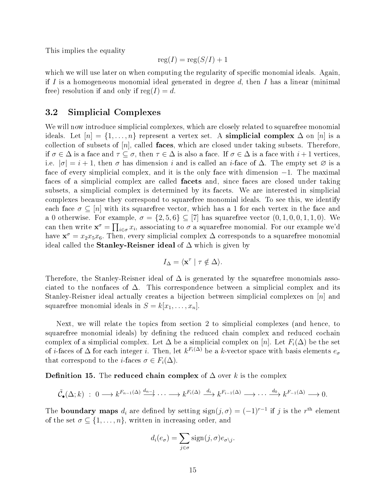This implies the equality

$$
reg(I) = reg(S/I) + 1
$$

which we will use later on when computing the regularity of specific monomial ideals. Again, if I is a homogeneous monomial ideal generated in degree  $d$ , then I has a linear (minimal free) resolution if and only if  $reg(I) = d$ .

## 3.2 Simplicial Complexes

We will now introduce simplicial complexes, which are closely related to squarefree monomial ideals. Let  $[n] = \{1, \ldots, n\}$  represent a vertex set. A simplicial complex  $\Delta$  on  $[n]$  is a collection of subsets of  $[n]$ , called **faces**, which are closed under taking subsets. Therefore, if  $\sigma \in \Delta$  is a face and  $\tau \subseteq \sigma$ , then  $\tau \in \Delta$  is also a face. If  $\sigma \in \Delta$  is a face with  $i+1$  vertices, i.e.  $|\sigma| = i + 1$ , then  $\sigma$  has dimension i and is called an i-face of  $\Delta$ . The empty set  $\varnothing$  is a face of every simplicial complex, and it is the only face with dimension −1. The maximal faces of a simplicial complex are called facets and, since faces are closed under taking subsets, a simplicial complex is determined by its facets. We are interested in simplicial complexes because they correspond to squarefree monomial ideals. To see this, we identify each face  $\sigma \subseteq [n]$  with its squarefree vector, which has a 1 for each vertex in the face and a 0 otherwise. For example,  $\sigma = \{2, 5, 6\} \subseteq [7]$  has squarefree vector  $(0, 1, 0, 0, 1, 1, 0)$ . We can then write  $\mathbf{x}^{\sigma} = \prod_{i \in \sigma} x_i$ , associating to  $\sigma$  a squarefree monomial. For our example we'd have  $\mathbf{x}^{\sigma} = x_2 x_5 x_6$ . Then, every simplicial complex  $\Delta$  corresponds to a squarefree monomial ideal called the **Stanley-Reisner ideal** of  $\Delta$  which is given by

$$
I_{\Delta} = \langle \mathbf{x}^{\tau} \mid \tau \notin \Delta \rangle.
$$

Therefore, the Stanley-Reisner ideal of  $\Delta$  is generated by the squarefree monomials associated to the nonfaces of  $\Delta$ . This correspondence between a simplicial complex and its Stanley-Reisner ideal actually creates a bijection between simplicial complexes on  $[n]$  and squarefree monomial ideals in  $S = k[x_1, \ldots, x_n]$ .

Next, we will relate the topics from section 2 to simplicial complexes (and hence, to squarefree monomial ideals) by defining the reduced chain complex and reduced cochain complex of a simplicial complex. Let  $\Delta$  be a simplicial complex on [n]. Let  $F_i(\Delta)$  be the set of *i*-faces of  $\Delta$  for each integer *i*. Then, let  $k^{F_i(\Delta)}$  be a *k*-vector space with basis elements  $e_{\sigma}$ that correspond to the *i*-faces  $\sigma \in F_i(\Delta)$ .

**Definition 15.** The **reduced chain complex** of  $\Delta$  over k is the complex

$$
\tilde{\mathcal{C}}_{\bullet}(\Delta; k) \; : \; 0 \longrightarrow k^{F_{n-1}(\Delta)} \xrightarrow{d_{n-1}} \cdots \longrightarrow k^{F_i(\Delta)} \xrightarrow{d_i} k^{F_{i-1}(\Delta)} \longrightarrow \cdots \xrightarrow{d_0} k^{F_{-1}(\Delta)} \longrightarrow 0.
$$

The **boundary maps**  $d_i$  are defined by setting  $sign(j, \sigma) = (-1)^{r-1}$  if j is the r<sup>th</sup> element of the set  $\sigma \subseteq \{1, \ldots, n\}$ , written in increasing order, and

$$
d_i(e_{\sigma}) = \sum_{j \in \sigma} sign(j, \sigma) e_{\sigma \setminus j}.
$$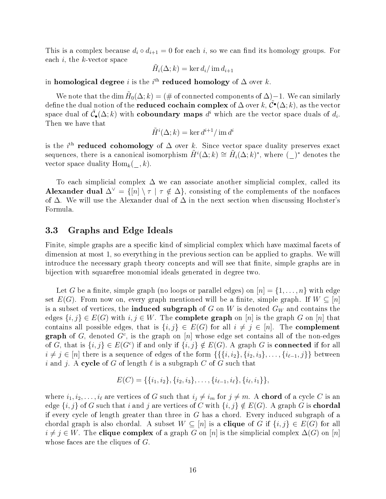This is a complex because  $d_i \circ d_{i+1} = 0$  for each i, so we can find its homology groups. For each  $i$ , the  $k$ -vector space

$$
\tilde{H}_i(\Delta; k) = \ker d_i / \operatorname{im} d_{i+1}
$$

in homological degree  $i$  is the  $i^{\text{th}}$  reduced homology of  $\Delta$  over  $k.$ 

We note that the dim  $\tilde{H}_0(\Delta;k)=(\#$  of connected components of  $\Delta$ )−1. We can similarly define the dual notion of the **reduced cochain complex** of  $\Delta$  over k,  $\tilde{\mathcal{C}}^{\bullet}(\Delta;k)$ , as the vector space dual of  $\tilde{\mathcal{C}}_{\bullet}(\Delta;k)$  with coboundary maps  $d^i$  which are the vector space duals of  $d_i$ . Then we have that

$$
\tilde{H}^i(\Delta; k) = \ker d^{i+1} / \operatorname{im} d^i
$$

is the i<sup>th</sup> reduced cohomology of  $\Delta$  over k. Since vector space duality preserves exact sequences, there is a canonical isomorphism  $\tilde{H}^i(\Delta;k) \cong \tilde{H}_i(\Delta;k)^*$ , where  $\left(\_\right)^*$  denotes the vector space duality  $\text{Hom}_k(-, k)$ .

To each simplicial complex  $\Delta$  we can associate another simplicial complex, called its Alexander dual  $\Delta^{\vee} = \{ [n] \setminus \tau \mid \tau \notin \Delta \}$ , consisting of the complements of the nonfaces of  $\Delta$ . We will use the Alexander dual of  $\Delta$  in the next section when discussing Hochster's Formula.

## 3.3 Graphs and Edge Ideals

Finite, simple graphs are a specific kind of simplicial complex which have maximal facets of dimension at most 1, so everything in the previous section can be applied to graphs. We will introduce the necessary graph theory concepts and will see that finite, simple graphs are in bijection with squarefree monomial ideals generated in degree two.

Let G be a finite, simple graph (no loops or parallel edges) on  $[n] = \{1, \ldots, n\}$  with edge set  $E(G)$ . From now on, every graph mentioned will be a finite, simple graph. If  $W \subseteq [n]$ is a subset of vertices, the induced subgraph of  $G$  on  $W$  is denoted  $G_W$  and contains the edges  $\{i, j\} \in E(G)$  with  $i, j \in W$ . The **complete graph** on [n] is the graph G on [n] that contains all possible edges, that is  $\{i, j\} \in E(G)$  for all  $i \neq j \in [n]$ . The **complement** graph of G, denoted  $G<sup>c</sup>$ , is the graph on  $[n]$  whose edge set contains all of the non-edges of G, that is  $\{i, j\} \in E(G^c)$  if and only if  $\{i, j\} \notin E(G)$ . A graph G is **connected** if for all  $i \neq j \in [n]$  there is a sequence of edges of the form  $\{\{\{i, i_2\}, \{i_2, i_3\}, \ldots, \{i_{\ell-1}, j\}\}\}$  between i and j. A cycle of G of length  $\ell$  is a subgraph C of G such that

$$
E(C) = \{\{i_1, i_2\}, \{i_2, i_3\}, \ldots, \{i_{\ell-1}, i_\ell\}, \{i_\ell, i_1\}\},\
$$

where  $i_1, i_2, \ldots, i_\ell$  are vertices of G such that  $i_j \neq i_m$  for  $j \neq m$ . A **chord** of a cycle C is an edge  $\{i, j\}$  of G such that i and j are vertices of C with  $\{i, j\} \notin E(G)$ . A graph G is **chordal** if every cycle of length greater than three in  $G$  has a chord. Every induced subgraph of a chordal graph is also chordal. A subset  $W \subseteq [n]$  is a **clique** of G if  $\{i, j\} \in E(G)$  for all  $i \neq j \in W$ . The **clique complex** of a graph G on [n] is the simplicial complex  $\Delta(G)$  on [n] whose faces are the cliques of G.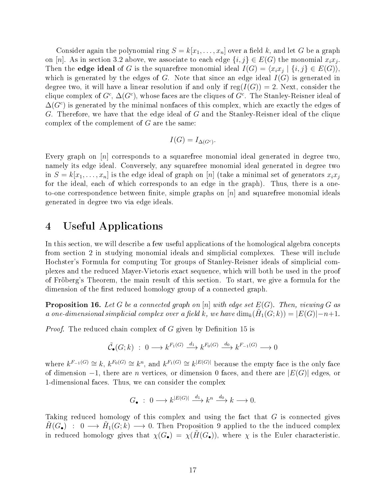Consider again the polynomial ring  $S = k[x_1, \ldots, x_n]$  over a field k, and let G be a graph on [n]. As in section 3.2 above, we associate to each edge  $\{i, j\} \in E(G)$  the monomial  $x_i x_j$ . Then the **edge ideal** of G is the squarefree monomial ideal  $I(G) = \langle x_i x_j | \{i, j\} \in E(G) \rangle$ , which is generated by the edges of G. Note that since an edge ideal  $I(G)$  is generated in degree two, it will have a linear resolution if and only if  $reg(I(G)) = 2$ . Next, consider the clique complex of  $G^c$ ,  $\Delta(G^c)$ , whose faces are the cliques of  $G^c$ . The Stanley-Reisner ideal of  $\Delta(G^{c})$  is generated by the minimal nonfaces of this complex, which are exactly the edges of G. Therefore, we have that the edge ideal of G and the Stanley-Reisner ideal of the clique complex of the complement of  $G$  are the same:

$$
I(G) = I_{\Delta(G^c)}.
$$

Every graph on  $[n]$  corresponds to a squarefree monomial ideal generated in degree two, namely its edge ideal. Conversely, any squarefree monomial ideal generated in degree two in  $S = k[x_1, \ldots, x_n]$  is the edge ideal of graph on [n] (take a minimal set of generators  $x_i x_j$ for the ideal, each of which corresponds to an edge in the graph). Thus, there is a oneto-one correspondence between finite, simple graphs on  $[n]$  and squarefree monomial ideals generated in degree two via edge ideals.

# 4 Useful Applications

In this section, we will describe a few useful applications of the homological algebra concepts from section 2 in studying monomial ideals and simplicial complexes. These will include Hochster's Formula for computing Tor groups of Stanley-Reisner ideals of simplicial complexes and the reduced Mayer-Vietoris exact sequence, which will both be used in the proof of Fröberg's Theorem, the main result of this section. To start, we give a formula for the dimension of the first reduced homology group of a connected graph.

**Proposition 16.** Let G be a connected graph on [n] with edge set  $E(G)$ . Then, viewing G as a one-dimensional simplicial complex over a field k, we have  $\dim_k(\tilde{H}_1(G;k)) = |E(G)| - n + 1$ .

*Proof.* The reduced chain complex of  $G$  given by Definition 15 is

$$
\tilde{\mathcal{C}}_{\bullet}(G;k) \; : \; 0 \longrightarrow k^{F_1(G)} \xrightarrow{d_1} k^{F_0(G)} \xrightarrow{d_0} k^{F_{-1}(G)} \longrightarrow 0
$$

where  $k^{F_{-1}(G)} \cong k, k^{F_0(G)} \cong k^n$ , and  $k^{F_1(G)} \cong k^{|E(G)|}$  because the empty face is the only face of dimension  $-1$ , there are *n* vertices, or dimension 0 faces, and there are  $|E(G)|$  edges, or 1-dimensional faces. Thus, we can consider the complex

$$
G_{\bullet} \; : \; 0 \longrightarrow k^{|E(G)|} \xrightarrow{d_1} k^n \xrightarrow{d_0} k \longrightarrow 0.
$$

Taking reduced homology of this complex and using the fact that  $G$  is connected gives  $\tilde{H}(G_{\bullet})$ : 0  $\longrightarrow$   $\tilde{H}_1(G; k)$   $\longrightarrow$  0. Then Proposition 9 applied to the the induced complex in reduced homology gives that  $\chi(G_{\bullet}) = \chi(\tilde{H}(G_{\bullet}))$ , where  $\chi$  is the Euler characteristic.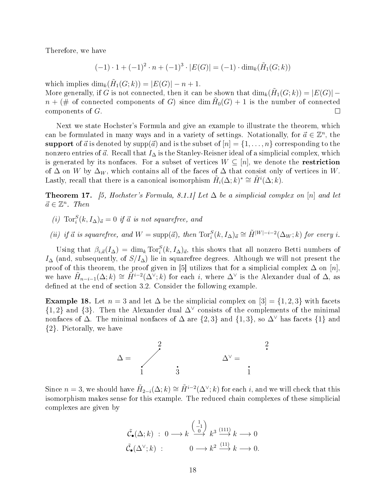Therefore, we have

$$
(-1) \cdot 1 + (-1)^2 \cdot n + (-1)^3 \cdot |E(G)| = (-1) \cdot \dim_k(\tilde{H}_1(G; k))
$$

which implies  $\dim_k(\tilde{H}_1(G;k)) = |E(G)| - n + 1.$ 

More generally, if G is not connected, then it can be shown that  $\dim_k(\tilde{H}_1(G;k)) = |E(G)|$  $n + (\# \nightharpoonup \# \nightharpoonup \# \nightharpoonup \# \nightharpoonup \# \nightharpoonup \# \nightharpoonup \# \nightharpoonup \# \nightharpoonup \# \nightharpoonup \# \nightharpoonup \# \nightharpoonup \# \nightharpoonup \# \nightharpoonup \# \nightharpoonup \# \nightharpoonup \# \nightharpoonup \# \nightharpoonup \# \nightharpoonup \# \nightharpoonup \# \nightharpoonup \# \nightharpoonup \# \nightharpoonup \# \nightharpoonup \# \nightharpoonup \# \nightharpoonup \# \nightharpoonup \# \nightharpoonup \#$ components of G.  $\Box$ 

Next we state Hochster's Formula and give an example to illustrate the theorem, which can be formulated in many ways and in a variety of settings. Notationally, for  $\vec{a} \in \mathbb{Z}^n$ , the support of  $\vec{a}$  is denoted by supp( $\vec{a}$ ) and is the subset of  $[n] = \{1, \ldots, n\}$  corresponding to the nonzero entries of  $\vec{a}$ . Recall that  $I_{\Delta}$  is the Stanley-Reisner ideal of a simplicial complex, which is generated by its nonfaces. For a subset of vertices  $W \subseteq [n]$ , we denote the **restriction** of  $\Delta$  on W by  $\Delta_W$ , which contains all of the faces of  $\Delta$  that consist only of vertices in W. Lastly, recall that there is a canonical isomorphism  $\tilde{H}_i(\Delta;k)^* \cong \tilde{H}^i(\Delta;k)$ .

**Theorem 17.** [5, Hochster's Formula, 8.1.1] Let  $\Delta$  be a simplicial complex on [n] and let  $\vec{a} \in \mathbb{Z}^n$ . Then

- (i)  $\text{Tor}_i^S(k, I_\Delta)_{\vec{a}} = 0$  if  $\vec{a}$  is not squarefree, and
- (ii) if  $\vec{a}$  is squarefree, and  $W = \text{supp}(\vec{a})$ , then  $\text{Tor}_i^S(k, I_\Delta)_{\vec{a}} \cong \tilde{H}^{|W| i 2}(\Delta_W; k)$  for every i.

Using that  $\beta_{i,\vec{a}}(I_{\Delta}) = \dim_k \text{Tor}_i^S(k, I_{\Delta})_{\vec{a}}$ , this shows that all nonzero Betti numbers of  $I_{\Delta}$  (and, subsequently, of  $S/I_{\Delta}$ ) lie in squarefree degrees. Although we will not present the proof of this theorem, the proof given in [5] utilizes that for a simplicial complex  $\Delta$  on [n], we have  $\tilde{H}_{n-i-1}(\Delta;k) \cong \tilde{H}^{i-2}(\Delta^{\vee};k)$  for each i, where  $\Delta^{\vee}$  is the Alexander dual of  $\Delta$ , as defined at the end of section 3.2. Consider the following example.

**Example 18.** Let  $n = 3$  and let  $\Delta$  be the simplicial complex on  $[3] = \{1, 2, 3\}$  with facets  ${1, 2}$  and  ${3}$ . Then the Alexander dual  $\Delta^{\vee}$  consists of the complements of the minimal nonfaces of  $\Delta$ . The minimal nonfaces of  $\Delta$  are  $\{2,3\}$  and  $\{1,3\}$ , so  $\Delta^{\vee}$  has facets  $\{1\}$  and {2}. Pictorally, we have



Since  $n=3$ , we should have  $\tilde{H}_{2-i}(\Delta;k)\cong \tilde{H}^{i-2}(\Delta^\vee;k)$  for each i, and we will check that this isomorphism makes sense for this example. The reduced chain complexes of these simplicial complexes are given by

$$
\tilde{\mathcal{C}}_{\bullet}(\Delta; k) : 0 \longrightarrow k \stackrel{\begin{pmatrix} 1 \\ -1 \\ 0 \end{pmatrix}}{\longrightarrow} k^3 \stackrel{(111)}{\longrightarrow} k \longrightarrow 0
$$
  

$$
\tilde{\mathcal{C}}_{\bullet}(\Delta^{\vee}; k) : 0 \longrightarrow k^2 \stackrel{(11)}{\longrightarrow} k \longrightarrow 0.
$$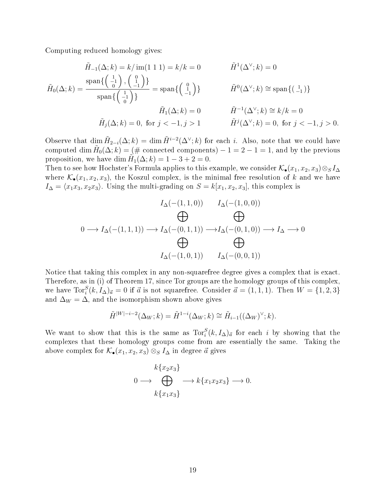Computing reduced homology gives:

$$
\tilde{H}_{-1}(\Delta; k) = k/\operatorname{im}(1\ 1\ 1) = k/k = 0 \qquad \qquad \tilde{H}^{1}(\Delta^{\vee}; k) = 0
$$
\n
$$
\tilde{H}_{0}(\Delta; k) = \frac{\operatorname{span}\left\{\begin{pmatrix} 1 \\ -1 \end{pmatrix}, \begin{pmatrix} 0 \\ -1 \end{pmatrix}\right\}}{\operatorname{span}\left\{\begin{pmatrix} 1 \\ -1 \end{pmatrix}\right\}} = \operatorname{span}\left\{\begin{pmatrix} 0 \\ 1 \end{pmatrix}\right\} \qquad \qquad \tilde{H}^{0}(\Delta^{\vee}; k) \cong \operatorname{span}\left\{\begin{pmatrix} 1 \\ -1 \end{pmatrix}\right\}
$$
\n
$$
\tilde{H}_{1}(\Delta; k) = 0 \qquad \qquad \tilde{H}^{-1}(\Delta^{\vee}; k) \cong k/k = 0
$$
\n
$$
\tilde{H}_{j}(\Delta; k) = 0, \text{ for } j < -1, j > 1 \qquad \qquad \tilde{H}^{j}(\Delta^{\vee}; k) = 0, \text{ for } j < -1, j > 0.
$$

Observe that  $\dim \tilde{H}_{2-i}(\Delta;k) = \dim \tilde{H}^{i-2}(\Delta^{\vee};k)$  for each i. Also, note that we could have computed  $\dim \tilde{H}_0(\Delta;k) = (\text{\# connected components}) - 1 = 2 - 1 = 1,$  and by the previous proposition, we have dim  $\widetilde{H}_1(\Delta;k) = 1 - 3 + 2 = 0$ .

Then to see how Hochster's Formula applies to this example, we consider  $\mathcal{K}_{\bullet}(x_1, x_2, x_3) \otimes_S I_{\Delta}$ where  $\mathcal{K}_{\bullet}(x_1, x_2, x_3)$ , the Koszul complex, is the minimal free resolution of k and we have  $I_{\Delta} = \langle x_1x_3, x_2x_3 \rangle$ . Using the multi-grading on  $S = k[x_1, x_2, x_3]$ , this complex is

$$
I_{\Delta}(-(1,1,0)) \qquad I_{\Delta}(-(1,0,0))
$$
  
\n
$$
\bigoplus_{\mathbf{0}\longrightarrow I_{\Delta}(-(1,1,1))\longrightarrow I_{\Delta}(-(0,1,1))\longrightarrow I_{\Delta}(-(0,1,0))\longrightarrow I_{\Delta}\longrightarrow 0
$$
  
\n
$$
\bigoplus_{I_{\Delta}(-(1,0,1))}\bigoplus_{I_{\Delta}(-(0,0,1))}
$$

Notice that taking this complex in any non-squarefree degree gives a complex that is exact. Therefore, as in (i) of Theorem 17, since Tor groups are the homology groups of this complex, we have  $\text{Tor}_{i}^{S}(k, I_{\Delta})_{\vec{a}} = 0$  if  $\vec{a}$  is not squarefree. Consider  $\vec{a} = (1, 1, 1)$ . Then  $W = \{1, 2, 3\}$ and  $\Delta_W = \Delta$ , and the isomorphism shown above gives

$$
\tilde{H}^{|W|-i-2}(\Delta_W;k) = \tilde{H}^{1-i}(\Delta_W;k) \cong \tilde{H}_{i-1}((\Delta_W)^{\vee};k).
$$

We want to show that this is the same as  $\text{Tor}_i^S(k, I_\Delta)_{\vec{a}}$  for each i by showing that the complexes that these homology groups come from are essentially the same. Taking the above complex for  $\mathcal{K}_{\bullet}(x_1, x_2, x_3) \otimes_S I_{\Delta}$  in degree  $\vec{a}$  gives

$$
k\{x_2x_3\}
$$
  
0  $\longrightarrow$   $\bigoplus$   $\longrightarrow$   $k\{x_1x_2x_3\} \longrightarrow 0.$   
 $k\{x_1x_3\}$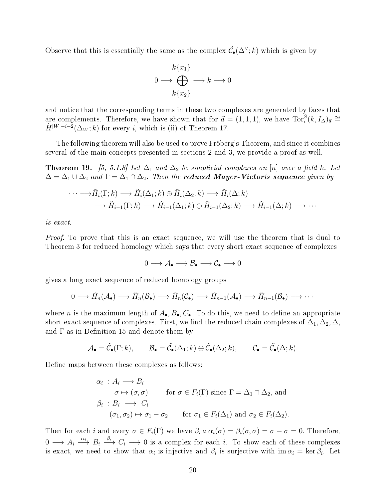Observe that this is essentially the same as the complex  $\tilde{\mathcal{C}}_{\bullet}(\Delta^{\vee};k)$  which is given by

$$
k\{x_1\}
$$
  
0  $\longrightarrow \bigoplus_{k\{x_2\}} \longrightarrow k \longrightarrow 0$ 

and notice that the corresponding terms in these two complexes are generated by faces that are complements. Therefore, we have shown that for  $\vec{a} = (1, 1, 1)$ , we have  $\text{Tor}_{i}^{S}(k, I_{\Delta})_{\vec{a}} \cong$  $\tilde{H}^{|W|-i-2}(\Delta_W;k)$  for every i, which is (ii) of Theorem 17.

The following theorem will also be used to prove Fröberg's Theorem, and since it combines several of the main concepts presented in sections 2 and 3, we provide a proof as well.

**Theorem 19.** [5, 5.1.8] Let  $\Delta_1$  and  $\Delta_2$  be simplicial complexes on [n] over a field k. Let  $\Delta = \Delta_1 \cup \Delta_2$  and  $\Gamma = \Delta_1 \cap \Delta_2$ . Then the **reduced Mayer-Vietoris sequence** given by

$$
\cdots \longrightarrow \tilde{H}_i(\Gamma;k) \longrightarrow \tilde{H}_i(\Delta_1;k) \oplus \tilde{H}_i(\Delta_2;k) \longrightarrow \tilde{H}_i(\Delta;k)
$$
  

$$
\longrightarrow \tilde{H}_{i-1}(\Gamma;k) \longrightarrow \tilde{H}_{i-1}(\Delta_1;k) \oplus \tilde{H}_{i-1}(\Delta_2;k) \longrightarrow \tilde{H}_{i-1}(\Delta;k) \longrightarrow \cdots
$$

is exact.

*Proof.* To prove that this is an exact sequence, we will use the theorem that is dual to Theorem 3 for reduced homology which says that every short exact sequence of complexes

$$
0\longrightarrow \mathcal{A}_\bullet\longrightarrow \mathcal{B}_\bullet\longrightarrow \mathcal{C}_\bullet\longrightarrow 0
$$

gives a long exact sequence of reduced homology groups

$$
0 \longrightarrow \tilde{H}_n(\mathcal{A}_{\bullet}) \longrightarrow \tilde{H}_n(\mathcal{B}_{\bullet}) \longrightarrow \tilde{H}_n(\mathcal{C}_{\bullet}) \longrightarrow \tilde{H}_{n-1}(\mathcal{A}_{\bullet}) \longrightarrow \tilde{H}_{n-1}(\mathcal{B}_{\bullet}) \longrightarrow \cdots
$$

where n is the maximum length of  $A_{\bullet}, B_{\bullet}, C_{\bullet}$ . To do this, we need to define an appropriate short exact sequence of complexes. First, we find the reduced chain complexes of  $\Delta_1, \Delta_2, \Delta$ , and  $\Gamma$  as in Definition 15 and denote them by

$$
\mathcal{A}_{\bullet} = \tilde{\mathcal{C}}_{\bullet}(\Gamma; k), \qquad \mathcal{B}_{\bullet} = \tilde{\mathcal{C}}_{\bullet}(\Delta_1; k) \oplus \tilde{\mathcal{C}}_{\bullet}(\Delta_2; k), \qquad \mathcal{C}_{\bullet} = \tilde{\mathcal{C}}_{\bullet}(\Delta; k).
$$

Define maps between these complexes as follows:

$$
\alpha_i : A_i \longrightarrow B_i
$$
  
\n
$$
\sigma \mapsto (\sigma, \sigma) \qquad \text{for } \sigma \in F_i(\Gamma) \text{ since } \Gamma = \Delta_1 \cap \Delta_2 \text{, and}
$$
  
\n
$$
\beta_i : B_i \longrightarrow C_i
$$
  
\n
$$
(\sigma_1, \sigma_2) \mapsto \sigma_1 - \sigma_2 \qquad \text{for } \sigma_1 \in F_i(\Delta_1) \text{ and } \sigma_2 \in F_i(\Delta_2).
$$

Then for each i and every  $\sigma \in F_i(\Gamma)$  we have  $\beta_i \circ \alpha_i(\sigma) = \beta_i(\sigma, \sigma) = \sigma - \sigma = 0$ . Therefore,  $0 \longrightarrow A_i \stackrel{\alpha_i}{\longrightarrow} B_i \stackrel{\beta_i}{\longrightarrow} C_i \longrightarrow 0$  is a complex for each i. To show each of these complexes is exact, we need to show that  $\alpha_i$  is injective and  $\beta_i$  is surjective with  $\text{im } \alpha_i = \text{ker } \beta_i$ . Let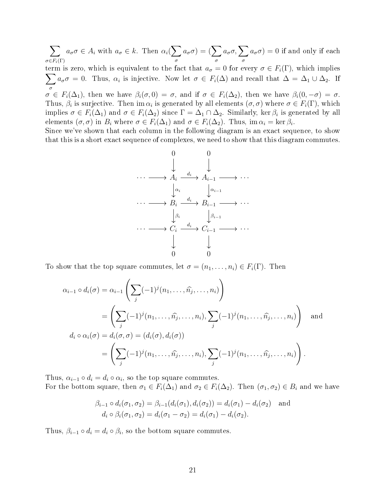$\sum$  $\sigma{\in}F_i(\Gamma)$  $a_{\sigma}\sigma \in A_i$  with  $a_{\sigma} \in k$ . Then  $\alpha_i(\sum)$ σ  $a_{\sigma}\sigma) = (\sum$ σ  $a_{\sigma} \sigma, \sum$ σ  $a_{\sigma}\sigma$ ) = 0 if and only if each term is zero, which is equivalent to the fact that  $a_{\sigma} = 0$  for every  $\sigma \in F_i(\Gamma)$ , which implies  $\sum$ σ  $a_{\sigma}\sigma = 0$ . Thus,  $\alpha_i$  is injective. Now let  $\sigma \in F_i(\Delta)$  and recall that  $\Delta = \Delta_1 \cup \Delta_2$ . If  $\sigma \in F_i(\Delta_1)$ , then we have  $\beta_i(\sigma,0) = \sigma$ , and if  $\sigma \in F_i(\Delta_2)$ , then we have  $\beta_i(0,-\sigma) = \sigma$ . Thus,  $\beta_i$  is surjective. Then im  $\alpha_i$  is generated by all elements  $(\sigma, \sigma)$  where  $\sigma \in F_i(\Gamma)$ , which implies  $\sigma \in F_i(\Delta_1)$  and  $\sigma \in F_i(\Delta_2)$  since  $\Gamma = \Delta_1 \cap \Delta_2$ . Similarly, ker  $\beta_i$  is generated by all elements  $(\sigma, \sigma)$  in  $B_i$  where  $\sigma \in F_i(\Delta_1)$  and  $\sigma \in F_i(\Delta_2)$ . Thus, im  $\alpha_i = \ker \beta_i$ .

Since we've shown that each column in the following diagram is an exact sequence, to show that this is a short exact sequence of complexes, we need to show that this diagram commutes.



To show that the top square commutes, let  $\sigma = (n_1, \ldots, n_i) \in F_i(\Gamma)$ . Then

$$
\alpha_{i-1} \circ d_i(\sigma) = \alpha_{i-1} \left( \sum_j (-1)^j (n_1, \dots, \widehat{n_j}, \dots, n_i) \right)
$$
  
= 
$$
\left( \sum_j (-1)^j (n_1, \dots, \widehat{n_j}, \dots, n_i), \sum_j (-1)^j (n_1, \dots, \widehat{n_j}, \dots, n_i) \right)
$$
 and  

$$
d_i \circ \alpha_i(\sigma) = d_i(\sigma, \sigma) = (d_i(\sigma), d_i(\sigma))
$$
  
= 
$$
\left( \sum_j (-1)^j (n_1, \dots, \widehat{n_j}, \dots, n_i), \sum_j (-1)^j (n_1, \dots, \widehat{n_j}, \dots, n_i) \right).
$$

Thus,  $\alpha_{i-1} \circ d_i = d_i \circ \alpha_i$ , so the top square commutes. For the bottom square, then  $\sigma_1 \in F_i(\Delta_1)$  and  $\sigma_2 \in F_i(\Delta_2)$ . Then  $(\sigma_1, \sigma_2) \in B_i$  and we have

$$
\beta_{i-1} \circ d_i(\sigma_1, \sigma_2) = \beta_{i-1}(d_i(\sigma_1), d_i(\sigma_2)) = d_i(\sigma_1) - d_i(\sigma_2) \text{ and}
$$
  

$$
d_i \circ \beta_i(\sigma_1, \sigma_2) = d_i(\sigma_1 - \sigma_2) = d_i(\sigma_1) - d_i(\sigma_2).
$$

Thus,  $\beta_{i-1} \circ d_i = d_i \circ \beta_i$ , so the bottom square commutes.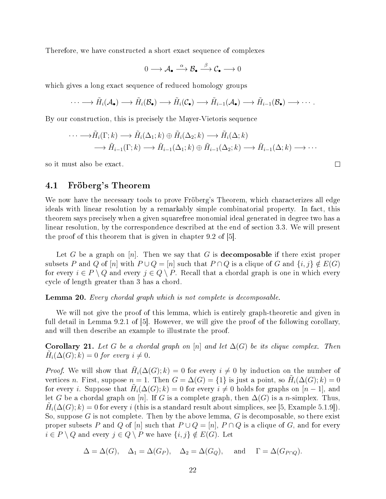Therefore, we have constructed a short exact sequence of complexes

$$
0\longrightarrow \mathcal{A}_\bullet \stackrel{\alpha}{\longrightarrow} \mathcal{B}_\bullet \stackrel{\beta}{\longrightarrow} \mathcal{C}_\bullet \longrightarrow 0
$$

which gives a long exact sequence of reduced homology groups

$$
\cdots \longrightarrow \tilde{H}_{i}(\mathcal{A}_{\bullet}) \longrightarrow \tilde{H}_{i}(\mathcal{B}_{\bullet}) \longrightarrow \tilde{H}_{i}(\mathcal{C}_{\bullet}) \longrightarrow \tilde{H}_{i-1}(\mathcal{A}_{\bullet}) \longrightarrow \tilde{H}_{i-1}(\mathcal{B}_{\bullet}) \longrightarrow \cdots.
$$

By our construction, this is precisely the Mayer-Vietoris sequence

$$
\cdots \longrightarrow \tilde{H}_i(\Gamma;k) \longrightarrow \tilde{H}_i(\Delta_1;k) \oplus \tilde{H}_i(\Delta_2;k) \longrightarrow \tilde{H}_i(\Delta;k)
$$
  

$$
\longrightarrow \tilde{H}_{i-1}(\Gamma;k) \longrightarrow \tilde{H}_{i-1}(\Delta_1;k) \oplus \tilde{H}_{i-1}(\Delta_2;k) \longrightarrow \tilde{H}_{i-1}(\Delta;k) \longrightarrow \cdots
$$

so it must also be exact.

## 4.1 Fröberg's Theorem

We now have the necessary tools to prove Fröberg's Theorem, which characterizes all edge ideals with linear resolution by a remarkably simple combinatorial property. In fact, this theorem says precisely when a given squarefree monomial ideal generated in degree two has a linear resolution, by the correspondence described at the end of section 3.3. We will present the proof of this theorem that is given in chapter 9.2 of [5].

Let G be a graph on  $[n]$ . Then we say that G is **decomposable** if there exist proper subsets P and Q of [n] with  $P \cup Q = [n]$  such that  $P \cap Q$  is a clique of G and  $\{i, j\} \notin E(G)$ for every  $i \in P \setminus Q$  and every  $j \in Q \setminus P$ . Recall that a chordal graph is one in which every cycle of length greater than 3 has a chord.

Lemma 20. Every chordal graph which is not complete is decomposable.

We will not give the proof of this lemma, which is entirely graph-theoretic and given in full detail in Lemma 9.2.1 of [5]. However, we will give the proof of the following corollary, and will then describe an example to illustrate the proof.

**Corollary 21.** Let G be a chordal graph on [n] and let  $\Delta(G)$  be its clique complex. Then  $\tilde{H}_i(\Delta(G); k) = 0$  for every  $i \neq 0$ .

*Proof.* We will show that  $\tilde{H}_i(\Delta(G); k) = 0$  for every  $i \neq 0$  by induction on the number of vertices n. First, suppose  $n = 1$ . Then  $G = \Delta(G) = \{1\}$  is just a point, so  $\tilde{H}_i(\Delta(G); k) = 0$ for every *i*. Suppose that  $\tilde{H}_i(\Delta(G); k) = 0$  for every  $i \neq 0$  holds for graphs on  $[n-1]$ , and let G be a chordal graph on [n]. If G is a complete graph, then  $\Delta(G)$  is a n-simplex. Thus,  $\tilde{H}_i(\Delta(G); k) = 0$  for every i (this is a standard result about simplices, see [5, Example 5.1.9]). So, suppose G is not complete. Then by the above lemma, G is decomposable, so there exist proper subsets P and Q of [n] such that  $P \cup Q = [n], P \cap Q$  is a clique of G, and for every  $i \in P \setminus Q$  and every  $j \in Q \setminus P$  we have  $\{i, j\} \notin E(G)$ . Let

$$
\Delta = \Delta(G), \quad \Delta_1 = \Delta(G_P), \quad \Delta_2 = \Delta(G_Q), \quad \text{and} \quad \Gamma = \Delta(G_{P \cap Q}).
$$

 $\Box$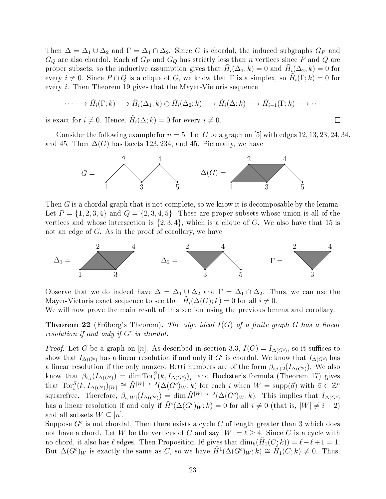Then  $\Delta = \Delta_1 \cup \Delta_2$  and  $\Gamma = \Delta_1 \cap \Delta_2$ . Since G is chordal, the induced subgraphs  $G_P$  and  $G_Q$  are also chordal. Each of  $G_P$  and  $G_Q$  has strictly less than n vertices since P and Q are proper subsets, so the inductive assumption gives that  $\tilde{H}_i(\Delta_1;k) = 0$  and  $\tilde{H}_i(\Delta_2;k) = 0$  for every  $i \neq 0$ . Since  $P \cap Q$  is a clique of G, we know that  $\Gamma$  is a simplex, so  $\tilde{H}_i(\Gamma;k) = 0$  for every i. Then Theorem 19 gives that the Mayer-Vietoris sequence

$$
\cdots \longrightarrow \tilde{H}_i(\Gamma;k) \longrightarrow \tilde{H}_i(\Delta_1;k) \oplus \tilde{H}_i(\Delta_2;k) \longrightarrow \tilde{H}_i(\Delta;k) \longrightarrow \tilde{H}_{i-1}(\Gamma;k) \longrightarrow \cdots
$$

 $\Box$ 

is exact for  $i \neq 0$ . Hence,  $\tilde{H}_i(\Delta; k) = 0$  for every  $i \neq 0$ .

Consider the following example for  $n = 5$ . Let G be a graph on [5] with edges 12, 13, 23, 24, 34, and 45. Then  $\Delta(G)$  has facets 123, 234, and 45. Pictorally, we have



Then G is a chordal graph that is not complete, so we know it is decomposable by the lemma. Let  $P = \{1, 2, 3, 4\}$  and  $Q = \{2, 3, 4, 5\}$ . These are proper subsets whose union is all of the vertices and whose intersection is  $\{2,3,4\}$ , which is a clique of G. We also have that 15 is not an edge of G. As in the proof of corollary, we have



Observe that we do indeed have  $\Delta = \Delta_1 \cup \Delta_2$  and  $\Gamma = \Delta_1 \cap \Delta_2$ . Thus, we can use the Mayer-Vietoris exact sequence to see that  $\tilde{H}_i(\Delta(G); k) = 0$  for all  $i \neq 0$ .

We will now prove the main result of this section using the previous lemma and corollary.

**Theorem 22** (Fröberg's Theorem). The edge ideal  $I(G)$  of a finite graph G has a linear resolution if and only if  $G^c$  is chordal.

*Proof.* Let G be a graph on [n]. As described in section 3.3,  $I(G) = I_{\Delta(G^c)}$ , so it suffices to show that  $I_{\Delta(G^c)}$  has a linear resolution if and only if  $G^c$  is chordal. We know that  $I_{\Delta(G^c)}$  has a linear resolution if the only nonzero Betti numbers are of the form  $\beta_{i,i+2}(I_{\Delta(G^c)})$ . We also know that  $\beta_{i,j}(I_{\Delta(G^c)}) = \dim \text{Tor}_i^S(k, I_{\Delta(G^c)})_j$ , and Hochster's formula (Theorem 17) gives that  $\text{Tor}_i^S(k, I_{\Delta(G^c)})_{|W|} \cong \tilde{H}^{|W|-i-2}(\Delta(G^c)_W; k)$  for each i when  $W = \text{supp}(\vec{a})$  with  $\vec{a} \in \mathbb{Z}^n$ squarefree. Therefore,  $\beta_{i,|W|}(I_{\Delta(G^c)}) = \dim \tilde{H}^{|W|-i-2}(\Delta(G^c)_W; k)$ . This implies that  $I_{\Delta(G^c)}$ has a linear resolution if and only if  $\tilde{H}^i(\Delta(G^c)_W; k) = 0$  for all  $i \neq 0$  (that is,  $|W| \neq i + 2$ ) and all subsets  $W \subseteq [n]$ .

Suppose  $G^c$  is not chordal. Then there exists a cycle  $C$  of length greater than 3 which does not have a chord. Let W be the vertices of C and say  $|W| = \ell \geq 4$ . Since C is a cycle with no chord, it also has  $\ell$  edges. Then Proposition 16 gives that  $\dim_k(\tilde{H}_1(C;k)) = \ell - \ell + 1 = 1$ . But  $\Delta(G^c)_W$  is exactly the same as C, so we have  $\tilde{H}^1(\Delta(G^c)_W; k) \cong \tilde{H}_1(C; k) \neq 0$ . Thus,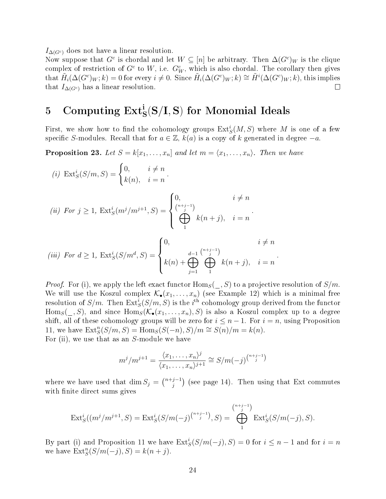$I_{\Delta(G^c)}$  does not have a linear resolution.

Now suppose that  $G^c$  is chordal and let  $W \subseteq [n]$  be arbitrary. Then  $\Delta(G^c)_W$  is the clique complex of restriction of  $G^c$  to W, i.e.  $G^c_W$ , which is also chordal. The corollary then gives  $\text{that} \ \tilde{H}_i(\Delta(G^c)_W;k)=0 \text{ for every } i\neq 0. \ \text{Since } \tilde{H}_i(\Delta(G^c)_W;k)\cong \tilde{H}^i(\Delta(G^c)_W;k), \text{ this implies}$ that  $I_{\Delta(G^c)}$  has a linear resolution.  $\Box$ 

# $5$  Computing  $\mathrm{Ext}^{\mathbf{i}}_\mathbf{S}(\mathbf{S}/\mathbf{I}, \mathbf{S})$  for Monomial Ideals

First, we show how to find the cohomology groups  $\mathrm{Ext}^i_S(M,S)$  where  $M$  is one of a few specific S-modules. Recall that for  $a \in \mathbb{Z}$ ,  $k(a)$  is a copy of k generated in degree  $-a$ .

**Proposition 23.** Let  $S = k[x_1, \ldots, x_n]$  and let  $m = \langle x_1, \ldots, x_n \rangle$ . Then we have

(i) 
$$
\operatorname{Ext}^{i}_{S}(S/m, S) = \begin{cases} 0, & i \neq n \\ k(n), & i = n \end{cases}
$$
  
\n(ii)  $\operatorname{For} j \ge 1$ ,  $\operatorname{Ext}^{i}_{S}(m^{j}/m^{j+1}, S) = \begin{cases} 0, & i \neq n \\ \bigoplus_{j=1}^{(n+j-1)} k(n+j), & i = n \end{cases}$ .  
\n(iii)  $\operatorname{For} d \ge 1$ ,  $\operatorname{Ext}^{i}_{S}(S/m^{d}, S) = \begin{cases} 0, & i \neq n \\ k(n) + \bigoplus_{j=1}^{d-1} \bigoplus_{j=1}^{(n+j-1)} k(n+j), & i = n \end{cases}$ 

*Proof.* For (i), we apply the left exact functor  $\text{Hom}_S(\_, S)$  to a projective resolution of  $S/m$ . We will use the Koszul complex  $\mathcal{K}_{\bullet}(x_1,\ldots,x_n)$  (see Example 12) which is a minimal free resolution of  $S/m$ . Then  $\mathrm{Ext}^{\overline{i}}_{S}(S/m,S)$  is the  $i^{\mathrm{th}}$  cohomology group derived from the functor  $\text{Hom}_S(\_, S)$ , and since  $\text{Hom}_S(\mathcal{K}_\bullet(x_1, \ldots, x_n), S)$  is also a Koszul complex up to a degree shift, all of these cohomology groups will be zero for  $i \leq n-1$ . For  $i = n$ , using Proposition 11, we have  $\text{Ext}^n_S(S/m, S) = \text{Hom}_S(S(-n), S)/m \cong S(n)/m = k(n)$ . For (ii), we use that as an S-module we have

 $j=1$ 

1

.

$$
m^j/m^{j+1} = \frac{\langle x_1, \dots, x_n \rangle^j}{\langle x_1, \dots, x_n \rangle^{j+1}} \cong S/m(-j)^{\binom{n+j-1}{j}}
$$

where we have used that dim  $S_j = \binom{n+j-1}{j}$  $j_j^{j-1}$ ) (see page 14). Then using that Ext commutes with finite direct sums gives

$$
\text{Ext}_{S}^{i}((m^{j}/m^{j+1}, S) = \text{Ext}_{S}^{i}(S/m(-j)^{\binom{n+j-1}{j}}, S) = \bigoplus_{1}^{\binom{n+j-1}{j}} \text{Ext}_{S}^{i}(S/m(-j), S).
$$

By part (i) and Proposition 11 we have  $\text{Ext}^i_S(S/m(-j), S) = 0$  for  $i \leq n-1$  and for  $i = n$ we have  $\text{Ext}^n_S(S/m(-j), S) = k(n+j)$ .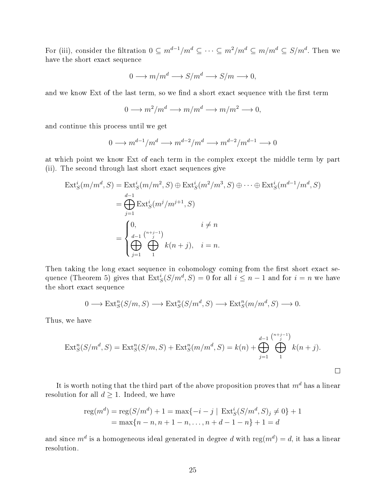For (iii), consider the filtration  $0 \subseteq m^{d-1}/m^d \subseteq \cdots \subseteq m^2/m^d \subseteq m/m^d \subseteq S/m^d$ . Then we have the short exact sequence

$$
0 \longrightarrow m/m^d \longrightarrow S/m^d \longrightarrow S/m \longrightarrow 0,
$$

and we know Ext of the last term, so we find a short exact sequence with the first term

$$
0 \longrightarrow m^2/m^d \longrightarrow m/m^d \longrightarrow m/m^2 \longrightarrow 0,
$$

and continue this process until we get

$$
0 \longrightarrow m^{d-1}/m^d \longrightarrow m^{d-2}/m^d \longrightarrow m^{d-2}/m^{d-1} \longrightarrow 0
$$

at which point we know Ext of each term in the complex except the middle term by part (ii). The second through last short exact sequences give

$$
\operatorname{Ext}_{S}^{i}(m/m^{d}, S) = \operatorname{Ext}_{S}^{i}(m/m^{2}, S) \oplus \operatorname{Ext}_{S}^{i}(m^{2}/m^{3}, S) \oplus \cdots \oplus \operatorname{Ext}_{S}^{i}(m^{d-1}/m^{d}, S)
$$
  
\n
$$
= \bigoplus_{j=1}^{d-1} \operatorname{Ext}_{S}^{i}(m^{j}/m^{j+1}, S)
$$
  
\n
$$
= \begin{cases} 0, & i \neq n \\ \bigoplus_{j=1}^{d-1} \bigoplus_{j=1}^{n+j-1} k(n+j), & i = n. \end{cases}
$$

Then taking the long exact sequence in cohomology coming from the first short exact sequence (Theorem 5) gives that  $\text{Ext}^i_S(S/m^d, S) = 0$  for all  $i \leq n-1$  and for  $i = n$  we have the short exact sequence

$$
0 \longrightarrow \text{Ext}^n_S(S/m, S) \longrightarrow \text{Ext}^n_S(S/m^d, S) \longrightarrow \text{Ext}^n_S(m/m^d, S) \longrightarrow 0.
$$

Thus, we have

$$
\text{Ext}^n_S(S/m^d, S) = \text{Ext}^n_S(S/m, S) + \text{Ext}^n_S(m/m^d, S) = k(n) + \bigoplus_{j=1}^{d-1} \bigoplus_{1}^{\binom{n+j-1}{j}} k(n+j).
$$

 $\Box$ 

It is worth noting that the third part of the above proposition proves that  $m<sup>d</sup>$  has a linear resolution for all  $d \geq 1$ . Indeed, we have

$$
reg(md) = reg(S/md) + 1 = max{-i - j | ExtiS(S/md, S)j \neq 0} + 1
$$
  
= max{n - n, n + 1 - n, ..., n + d - 1 - n} + 1 = d

and since  $m^d$  is a homogeneous ideal generated in degree  $d$  with  ${\rm reg}(m^d)=d,$  it has a linear resolution.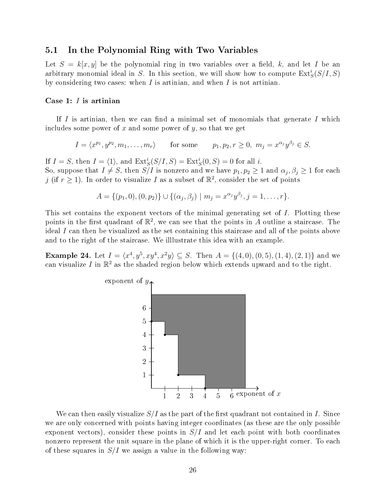### 5.1 In the Polynomial Ring with Two Variables

Let  $S = k[x, y]$  be the polynomial ring in two variables over a field, k, and let I be an arbitrary monomial ideal in S. In this section, we will show how to compute  $\text{Ext}^i_S(S/I, S)$ by considering two cases: when  $I$  is artinian, and when  $I$  is not artinian.

#### Case 1: I is artinian

If  $I$  is artinian, then we can find a minimal set of monomials that generate  $I$  which includes some power of x and some power of y, so that we get

$$
I = \langle x^{p_1}, y^{p_2}, m_1, \dots, m_r \rangle \quad \text{for some} \quad p_1, p_2, r \ge 0, \ m_j = x^{\alpha_j} y^{\beta_j} \in S.
$$

If  $I = S$ , then  $I = \langle 1 \rangle$ , and  $\text{Ext}^i_S(S/I, S) = \text{Ext}^i_S(0, S) = 0$  for all i. So, suppose that  $I \neq S$ , then  $S/I$  is nonzero and we have  $p_1, p_2 \geq 1$  and  $\alpha_j, \beta_j \geq 1$  for each j (if  $r \geq 1$ ). In order to visualize I as a subset of  $\mathbb{R}^2$ , consider the set of points

$$
A = \{(p_1, 0), (0, p_2)\} \cup \{(\alpha_j, \beta_j) \mid m_j = x^{\alpha_j} y^{\beta_j}, j = 1, ..., r\}.
$$

This set contains the exponent vectors of the minimal generating set of I. Plotting these points in the first quadrant of  $\mathbb{R}^2$ , we can see that the points in A outline a staircase. The ideal I can then be visualized as the set containing this staircase and all of the points above and to the right of the staircase. We illlustrate this idea with an example.

**Example 24.** Let  $I = \langle x^4, y^5, xy^4, x^2y \rangle \subseteq S$ . Then  $A = \{(4,0), (0,5), (1,4), (2,1)\}$  and we can visualize  $I$  in  $\mathbb{R}^2$  as the shaded region below which extends upward and to the right.



We can then easily visualize  $S/I$  as the part of the first quadrant not contained in I. Since we are only concerned with points having integer coordinates (as these are the only possible exponent vectors), consider these points in  $S/I$  and let each point with both coordinates nonzero represent the unit square in the plane of which it is the upper-right corner. To each of these squares in  $S/I$  we assign a value in the following way: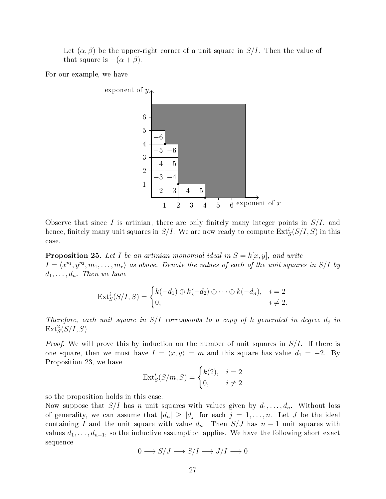Let  $(\alpha, \beta)$  be the upper-right corner of a unit square in  $S/I$ . Then the value of that square is  $-(\alpha + \beta)$ .

For our example, we have



Observe that since I is artinian, there are only finitely many integer points in  $S/I$ , and hence, finitely many unit squares in  $S/I$ . We are now ready to compute  $\mathrm{Ext}^i_S(S/I,S)$  in this case.

**Proposition 25.** Let I be an artinian monomial ideal in  $S = k[x, y]$ , and write  $I = \langle x^{p_1}, y^{p_2}, m_1, \ldots, m_r \rangle$  as above. Denote the values of each of the unit squares in S/I by  $d_1, \ldots, d_n$ . Then we have

$$
\operatorname{Ext}^i_S(S/I, S) = \begin{cases} k(-d_1) \oplus k(-d_2) \oplus \cdots \oplus k(-d_n), & i = 2 \\ 0, & i \neq 2. \end{cases}
$$

Therefore, each unit square in  $S/I$  corresponds to a copy of k generated in degree  $d_i$  in  $\text{Ext}^2_S(S/I, S)$ .

*Proof.* We will prove this by induction on the number of unit squares in  $S/I$ . If there is one square, then we must have  $I = \langle x, y \rangle = m$  and this square has value  $d_1 = -2$ . By Proposition 23, we have

$$
Ext_S^i(S/m, S) = \begin{cases} k(2), & i = 2\\ 0, & i \neq 2 \end{cases}
$$

so the proposition holds in this case.

Now suppose that  $S/I$  has n unit squares with values given by  $d_1, \ldots, d_n$ . Without loss of generality, we can assume that  $|d_n| \geq |d_j|$  for each  $j = 1, \ldots, n$ . Let J be the ideal containing I and the unit square with value  $d_n$ . Then  $S/J$  has  $n-1$  unit squares with values  $d_1, \ldots, d_{n-1}$ , so the inductive assumption applies. We have the following short exact sequence

$$
0\longrightarrow S/J\longrightarrow S/I\longrightarrow J/I\longrightarrow 0
$$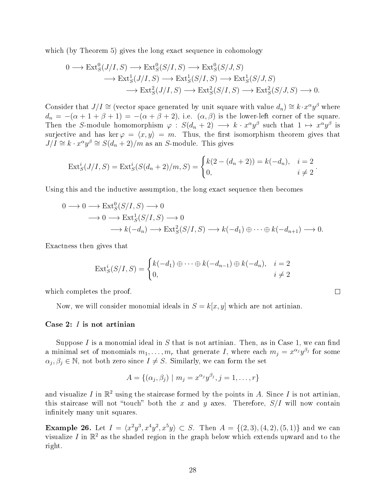which (by Theorem 5) gives the long exact sequence in cohomology

$$
0 \longrightarrow \text{Ext}_{S}^{0}(J/I, S) \longrightarrow \text{Ext}_{S}^{0}(S/I, S) \longrightarrow \text{Ext}_{S}^{0}(S/J, S) \longrightarrow \text{Ext}_{S}^{1}(J/I, S) \longrightarrow \text{Ext}_{S}^{1}(S/I, S) \longrightarrow \text{Ext}_{S}^{1}(S/J, S) \longrightarrow \text{Ext}_{S}^{2}(S/J, S) \longrightarrow 0.
$$

Consider that  $J/I \cong$  (vector space generated by unit square with value  $d_n$ )  $\cong k \cdot x^{\alpha}y^{\beta}$  where  $d_n = -(\alpha + 1 + \beta + 1) = -(\alpha + \beta + 2)$ , i.e.  $(\alpha, \beta)$  is the lower-left corner of the square. Then the S-module homomorphism  $\varphi : S(d_n + 2) \longrightarrow k \cdot x^{\alpha}y^{\beta}$  such that  $1 \mapsto x^{\alpha}y^{\beta}$  is surjective and has ker  $\varphi = \langle x, y \rangle = m$ . Thus, the first isomorphism theorem gives that  $J/I \cong k \cdot x^{\alpha}y^{\beta} \cong S(d_n+2)/m$  as an S-module. This gives

$$
Ext_S^i(J/I, S) = Ext_S^i(S(d_n + 2)/m, S) = \begin{cases} k(2 - (d_n + 2)) = k(-d_n), & i = 2 \\ 0, & i \neq 2 \end{cases}.
$$

Using this and the inductive assumption, the long exact sequence then becomes

$$
0 \longrightarrow 0 \longrightarrow \text{Ext}_{S}^{0}(S/I, S) \longrightarrow 0
$$
  
\n
$$
\longrightarrow 0 \longrightarrow \text{Ext}_{S}^{1}(S/I, S) \longrightarrow 0
$$
  
\n
$$
\longrightarrow k(-d_{n}) \longrightarrow \text{Ext}_{S}^{2}(S/I, S) \longrightarrow k(-d_{1}) \oplus \cdots \oplus k(-d_{n+1}) \longrightarrow 0.
$$

Exactness then gives that

$$
\operatorname{Ext}^i_S(S/I, S) = \begin{cases} k(-d_1) \oplus \cdots \oplus k(-d_{n-1}) \oplus k(-d_n), & i = 2 \\ 0, & i \neq 2 \end{cases}
$$

which completes the proof.

Now, we will consider monomial ideals in  $S = k[x, y]$  which are not artinian.

#### Case 2: I is not artinian

Suppose  $I$  is a monomial ideal in  $S$  that is not artinian. Then, as in Case 1, we can find a minimal set of monomials  $m_1, \ldots, m_r$  that generate I, where each  $m_j = x^{\alpha_j} y^{\beta_j}$  for some  $\alpha_j, \beta_j \in \mathbb{N}$ , not both zero since  $I \neq S$ . Similarly, we can form the set

$$
A = \{(\alpha_j, \beta_j) \mid m_j = x^{\alpha_j} y^{\beta_j}, j = 1, ..., r\}
$$

and visualize I in  $\mathbb{R}^2$  using the staircase formed by the points in A. Since I is not artinian, this staircase will not "touch" both the x and y axes. Therefore,  $S/I$  will now contain infinitely many unit squares.

**Example 26.** Let  $I = \langle x^2y^3, x^4y^2, x^5y \rangle \subset S$ . Then  $A = \{(2, 3), (4, 2), (5, 1)\}$  and we can visualize I in  $\mathbb{R}^2$  as the shaded region in the graph below which extends upward and to the right.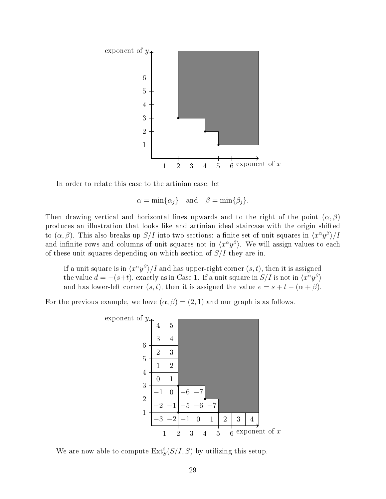

In order to relate this case to the artinian case, let

$$
\alpha = \min\{\alpha_j\} \quad \text{and} \quad \beta = \min\{\beta_j\}.
$$

Then drawing vertical and horizontal lines upwards and to the right of the point  $(\alpha, \beta)$ produces an illustration that looks like and artinian ideal staircase with the origin shifted to  $(\alpha, \beta)$ . This also breaks up  $S/I$  into two sections: a finite set of unit squares in  $\langle x^{\alpha}y^{\beta}\rangle/I$ and infinite rows and columns of unit squares not in  $\langle x^{\alpha}y^{\beta}\rangle$ . We will assign values to each of these unit squares depending on which section of  $S/I$  they are in.

If a unit square is in  $\langle x^\alpha y^\beta\rangle/I$  and has upper-right corner  $(s, t),$  then it is assigned the value  $d = -(s+t)$ , exactly as in Case 1. If a unit square in  $S/I$  is not in  $\langle x^{\alpha}y^{\beta} \rangle$ and has lower-left corner  $(s, t)$ , then it is assigned the value  $e = s + t - (\alpha + \beta)$ .

For the previous example, we have  $(\alpha, \beta) = (2, 1)$  and our graph is as follows.



We are now able to compute  $\text{Ext}^i_S(S/I, S)$  by utilizing this setup.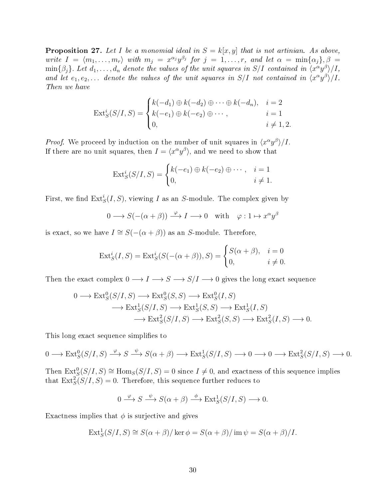**Proposition 27.** Let I be a monomial ideal in  $S = k[x, y]$  that is not artinian. As above, write  $I = \langle m_1, \ldots, m_r \rangle$  with  $m_j = x^{\alpha_j} y^{\beta_j}$  for  $j = 1, \ldots, r$ , and let  $\alpha = \min\{\alpha_j\}, \beta =$  $\min\{\beta_j\}$ . Let  $d_1,\ldots,d_n$  denote the values of the unit squares in S/I contained in  $\langle x^\alpha y^\beta \rangle /I$ , and let  $e_1, e_2, \ldots$  denote the values of the unit squares in  $S/I$  not contained in  $\langle x^{\alpha} y^{\beta} \rangle /I$ . Then we have

$$
\operatorname{Ext}_{S}^{i}(S/I, S) = \begin{cases} k(-d_{1}) \oplus k(-d_{2}) \oplus \cdots \oplus k(-d_{n}), & i = 2 \\ k(-e_{1}) \oplus k(-e_{2}) \oplus \cdots, & i = 1 \\ 0, & i \neq 1, 2. \end{cases}
$$

*Proof.* We proceed by induction on the number of unit squares in  $\langle x^{\alpha} y^{\beta} \rangle / I$ . If there are no unit squares, then  $I = \langle x^{\alpha} y^{\beta} \rangle$ , and we need to show that

$$
\operatorname{Ext}^i_S(S/I, S) = \begin{cases} k(-e_1) \oplus k(-e_2) \oplus \cdots, & i = 1 \\ 0, & i \neq 1. \end{cases}
$$

First, we find  $\mathrm{Ext}^i_S(I,S)$ , viewing  $I$  as an  $S\text{-module.}$  The complex given by

$$
0 \longrightarrow S(-(\alpha + \beta)) \xrightarrow{\varphi} I \longrightarrow 0 \quad \text{with} \quad \varphi: 1 \mapsto x^{\alpha}y^{\beta}
$$

is exact, so we have  $I \cong S(-(\alpha + \beta))$  as an S-module. Therefore,

$$
\text{Ext}_{S}^{i}(I, S) = \text{Ext}_{S}^{i}(S(-(\alpha + \beta)), S) = \begin{cases} S(\alpha + \beta), & i = 0\\ 0, & i \neq 0. \end{cases}
$$

Then the exact complex  $0 \longrightarrow I \longrightarrow S \longrightarrow S/I \longrightarrow 0$  gives the long exact sequence

$$
0 \longrightarrow \text{Ext}^0_S(S/I, S) \longrightarrow \text{Ext}^0_S(S, S) \longrightarrow \text{Ext}^0_S(I, S) \longrightarrow \text{Ext}^1_S(S/I, S) \longrightarrow \text{Ext}^1_S(S, S) \longrightarrow \text{Ext}^1_S(I, S) \longrightarrow \text{Ext}^2_S(S/I, S) \longrightarrow \text{Ext}^2_S(S, S) \longrightarrow \text{Ext}^2_S(I, S) \longrightarrow 0.
$$

This long exact sequence simplifies to

 $0 \longrightarrow \text{Ext}_{S}^{0}(S/I, S) \stackrel{\varphi}{\longrightarrow} S \stackrel{\psi}{\longrightarrow} S(\alpha + \beta) \longrightarrow \text{Ext}_{S}^{1}(S/I, S) \longrightarrow 0 \longrightarrow 0 \longrightarrow \text{Ext}_{S}^{2}(S/I, S) \longrightarrow 0.$ 

Then  $\text{Ext}^0_S(S/I, S) \cong \text{Hom}_S(S/I, S) = 0$  since  $I \neq 0$ , and exactness of this sequence implies that  $\text{Ext}_{S}^{2}(S/I, S) = 0$ . Therefore, this sequence further reduces to

$$
0 \xrightarrow{\varphi} S \xrightarrow{\psi} S(\alpha + \beta) \xrightarrow{\phi} \text{Ext}^1_S(S/I, S) \longrightarrow 0.
$$

Exactness implies that  $\phi$  is surjective and gives

$$
Ext_S^1(S/I, S) \cong S(\alpha + \beta) / \ker \phi = S(\alpha + \beta) / \operatorname{im} \psi = S(\alpha + \beta) / I.
$$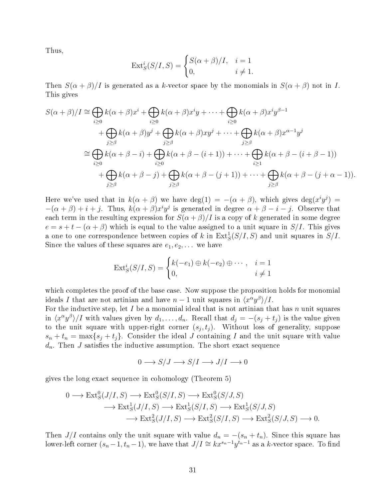Thus,

$$
Ext_S^i(S/I, S) = \begin{cases} S(\alpha + \beta)/I, & i = 1\\ 0, & i \neq 1. \end{cases}
$$

Then  $S(\alpha + \beta)/I$  is generated as a k-vector space by the monomials in  $S(\alpha + \beta)$  not in I. This gives

$$
S(\alpha + \beta)/I \cong \bigoplus_{i \geq 0} k(\alpha + \beta)x^{i} + \bigoplus_{i \geq 0} k(\alpha + \beta)x^{i}y + \cdots + \bigoplus_{i \geq 0} k(\alpha + \beta)x^{i}y^{\beta - 1}
$$
  
+ 
$$
\bigoplus_{j \geq \beta} k(\alpha + \beta)y^{j} + \bigoplus_{j \geq \beta} k(\alpha + \beta)xy^{j} + \cdots + \bigoplus_{j \geq \beta} k(\alpha + \beta)x^{\alpha - 1}y^{j}
$$
  

$$
\cong \bigoplus_{i \geq 0} k(\alpha + \beta - i) + \bigoplus_{i \geq 0} k(\alpha + \beta - (i + 1)) + \cdots + \bigoplus_{i \geq 1} k(\alpha + \beta - (i + \beta - 1))
$$
  
+ 
$$
\bigoplus_{j \geq \beta} k(\alpha + \beta - j) + \bigoplus_{j \geq \beta} k(\alpha + \beta - (j + 1)) + \cdots + \bigoplus_{j \geq \beta} k(\alpha + \beta - (j + \alpha - 1)).
$$

Here we've used that in  $k(\alpha + \beta)$  we have  $deg(1) = -(\alpha + \beta)$ , which gives  $deg(x^i y^j) =$  $-(\alpha+\beta)+i+j$ . Thus,  $k(\alpha+\beta)x^i y^j$  is generated in degree  $\alpha+\beta-i-j$ . Observe that each term in the resulting expression for  $S(\alpha + \beta)/I$  is a copy of k generated in some degree  $e = s + t - (\alpha + \beta)$  which is equal to the value assigned to a unit square in  $S/I$ . This gives a one to one correspondence between copies of k in  $\text{Ext}^1_S(S/I, S)$  and unit squares in  $S/I$ . Since the values of these squares are  $e_1, e_2, \ldots$  we have

$$
\operatorname{Ext}^i_S(S/I, S) = \begin{cases} k(-e_1) \oplus k(-e_2) \oplus \cdots, & i = 1 \\ 0, & i \neq 1 \end{cases}
$$

which completes the proof of the base case. Now suppose the proposition holds for monomial ideals I that are not artinian and have  $n-1$  unit squares in  $\langle x^{\alpha}y^{\beta}\rangle/I$ .

For the inductive step, let I be a monomial ideal that is not artinian that has n unit squares in  $\langle x^{\alpha}y^{\beta}\rangle$  with values given by  $d_1, \ldots, d_n$ . Recall that  $d_j = -(s_j + t_j)$  is the value given to the unit square with upper-right corner  $(s_j, t_j)$ . Without loss of generality, suppose  $s_n + t_n = \max\{s_j + t_j\}.$  Consider the ideal J containing I and the unit square with value  $d_n$ . Then J satisfies the inductive assumption. The short exact sequence

$$
0 \longrightarrow S/J \longrightarrow S/I \longrightarrow J/I \longrightarrow 0
$$

gives the long exact sequence in cohomology (Theorem 5)

$$
0 \longrightarrow \text{Ext}_{S}^{0}(J/I, S) \longrightarrow \text{Ext}_{S}^{0}(S/I, S) \longrightarrow \text{Ext}_{S}^{1}(S/J, S) \longrightarrow \text{Ext}_{S}^{1}(S/J, S) \longrightarrow \text{Ext}_{S}^{1}(S/J, S) \longrightarrow \text{Ext}_{S}^{1}(S/J, S) \longrightarrow \text{Ext}_{S}^{2}(J/I, S) \longrightarrow \text{Ext}_{S}^{2}(S/J, S) \longrightarrow 0.
$$

Then  $J/I$  contains only the unit square with value  $d_n = -(s_n + t_n)$ . Since this square has lower-left corner  $(s_n-1,t_n-1)$ , we have that  $J/I \cong kx^{s_n-1}y^{t_n-1}$  as a k-vector space. To find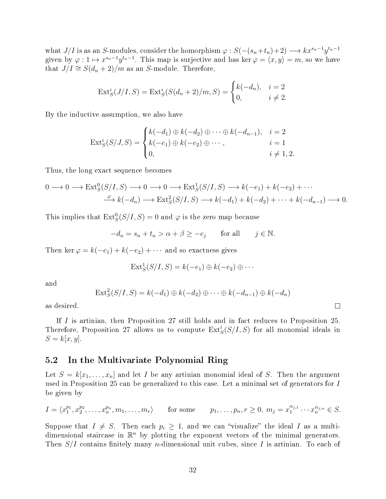what  $J/I$  is as an S-modules, consider the homorphism  $\varphi: S(-(s_n+t_n)+2) \longrightarrow kx^{s_n-1}y^{t_n-1}$ given by  $\varphi: 1 \mapsto x^{s_n-1}y^{t_n-1}$ . This map is surjective and has ker  $\varphi = \langle x, y \rangle = m$ , so we have that  $J/I \cong S(d_n+2)/m$  as an S-module. Therefore,

$$
Ext_S^i(J/I, S) = Ext_S^i(S(d_n + 2)/m, S) = \begin{cases} k(-d_n), & i = 2\\ 0, & i \neq 2. \end{cases}
$$

By the inductive assumption, we also have

$$
\operatorname{Ext}_{S}^{i}(S/J, S) = \begin{cases} k(-d_{1}) \oplus k(-d_{2}) \oplus \cdots \oplus k(-d_{n-1}), & i = 2 \\ k(-e_{1}) \oplus k(-e_{2}) \oplus \cdots, & i = 1 \\ 0, & i \neq 1, 2. \end{cases}
$$

Thus, the long exact sequence becomes

$$
0 \longrightarrow 0 \longrightarrow \text{Ext}_{S}^{0}(S/I, S) \longrightarrow 0 \longrightarrow 0 \longrightarrow \text{Ext}_{S}^{1}(S/I, S) \longrightarrow k(-e_{1}) + k(-e_{2}) + \cdots
$$

$$
\xrightarrow{\varphi} k(-d_{n}) \longrightarrow \text{Ext}_{S}^{2}(S/I, S) \longrightarrow k(-d_{1}) + k(-d_{2}) + \cdots + k(-d_{n-1}) \longrightarrow 0.
$$

This implies that  $\text{Ext}^0_S(S/I, S) = 0$  and  $\varphi$  is the zero map because

$$
-d_n = s_n + t_n > \alpha + \beta \ge -e_j \quad \text{for all} \quad j \in \mathbb{N}.
$$

Then ker  $\varphi = k(-e_1) + k(-e_2) + \cdots$  and so exactness gives

$$
Ext_S^1(S/I, S) = k(-e_1) \oplus k(-e_2) \oplus \cdots
$$

and

$$
\text{Ext}^2_S(S/I, S) = k(-d_1) \oplus k(-d_2) \oplus \cdots \oplus k(-d_{n-1}) \oplus k(-d_n)
$$

 $\Box$ 

as desired.

If I is artinian, then Proposition 27 still holds and in fact reduces to Proposition 25. Therefore, Proposition 27 allows us to compute  $\mathrm{Ext}^i_S(S/I,S)$  for all monomial ideals in  $S = k[x, y].$ 

## 5.2 In the Multivariate Polynomial Ring

Let  $S = k[x_1, \ldots, x_n]$  and let I be any artinian monomial ideal of S. Then the argument used in Proposition 25 can be generalized to this case. Let a minimal set of generators for I be given by

$$
I = \langle x_1^{p_1}, x_2^{p_2}, \dots, x_n^{p_n}, m_1, \dots, m_r \rangle \quad \text{for some} \quad p_1, \dots, p_n, r \ge 0, \ m_j = x_1^{\alpha_{j,1}} \cdots x_n^{\alpha_{j,n}} \in S.
$$

Suppose that  $I \neq S$ . Then each  $p_i \geq 1$ , and we can "visualize" the ideal I as a multidimensional staircase in  $\mathbb{R}^n$  by plotting the exponent vectors of the minimal generators. Then  $S/I$  contains finitely many *n*-dimensional unit cubes, since I is artinian. To each of